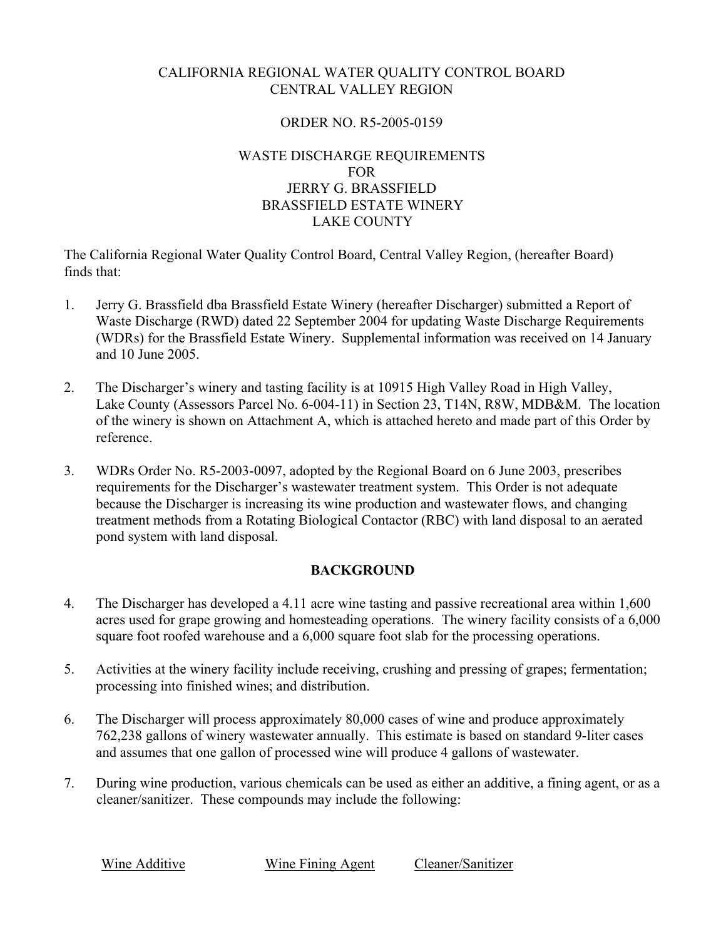# CALIFORNIA REGIONAL WATER QUALITY CONTROL BOARD CENTRAL VALLEY REGION

## ORDER NO. R5-2005-0159

## WASTE DISCHARGE REQUIREMENTS FOR JERRY G. BRASSFIELD BRASSFIELD ESTATE WINERY LAKE COUNTY

The California Regional Water Quality Control Board, Central Valley Region, (hereafter Board) finds that:

- 1. Jerry G. Brassfield dba Brassfield Estate Winery (hereafter Discharger) submitted a Report of Waste Discharge (RWD) dated 22 September 2004 for updating Waste Discharge Requirements (WDRs) for the Brassfield Estate Winery. Supplemental information was received on 14 January and 10 June 2005.
- 2. The Discharger's winery and tasting facility is at 10915 High Valley Road in High Valley, Lake County (Assessors Parcel No. 6-004-11) in Section 23, T14N, R8W, MDB&M. The location of the winery is shown on Attachment A, which is attached hereto and made part of this Order by reference.
- 3. WDRs Order No. R5-2003-0097, adopted by the Regional Board on 6 June 2003, prescribes requirements for the Discharger's wastewater treatment system. This Order is not adequate because the Discharger is increasing its wine production and wastewater flows, and changing treatment methods from a Rotating Biological Contactor (RBC) with land disposal to an aerated pond system with land disposal.

# **BACKGROUND**

- 4. The Discharger has developed a 4.11 acre wine tasting and passive recreational area within 1,600 acres used for grape growing and homesteading operations. The winery facility consists of a 6,000 square foot roofed warehouse and a 6,000 square foot slab for the processing operations.
- 5. Activities at the winery facility include receiving, crushing and pressing of grapes; fermentation; processing into finished wines; and distribution.
- 6. The Discharger will process approximately 80,000 cases of wine and produce approximately 762,238 gallons of winery wastewater annually. This estimate is based on standard 9-liter cases and assumes that one gallon of processed wine will produce 4 gallons of wastewater.
- 7. During wine production, various chemicals can be used as either an additive, a fining agent, or as a cleaner/sanitizer. These compounds may include the following:

Wine Additive Wine Fining Agent Cleaner/Sanitizer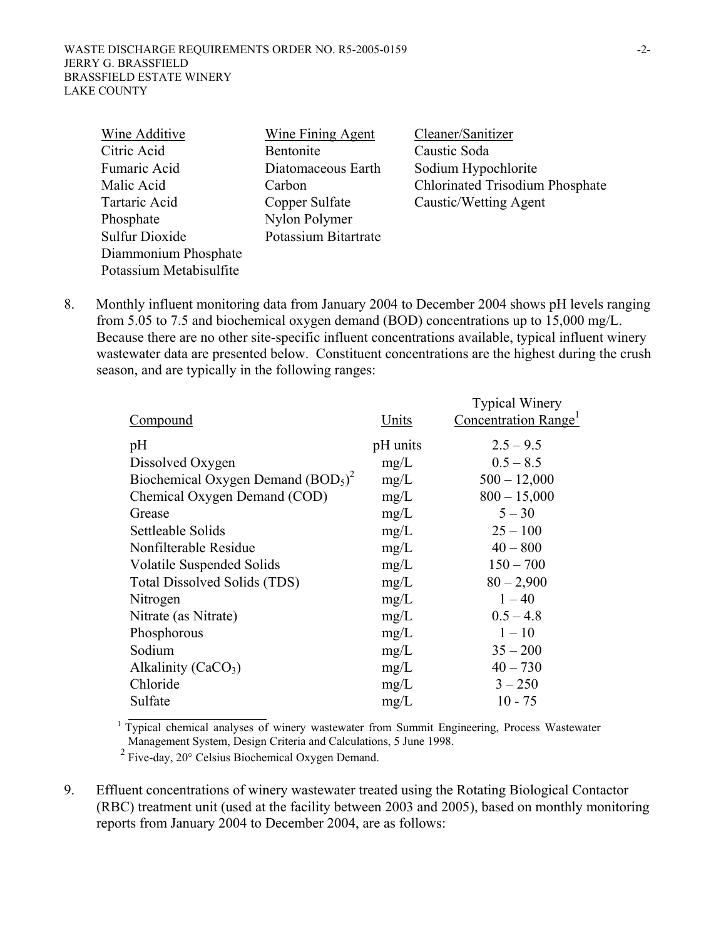| Wine Additive           | <b>Wine Fining Agent</b> | Cleaner/Sanitizer                      |
|-------------------------|--------------------------|----------------------------------------|
| Citric Acid             | Bentonite                | Caustic Soda                           |
| Fumaric Acid            | Diatomaceous Earth       | Sodium Hypochlorite                    |
| Malic Acid              | Carbon                   | <b>Chlorinated Trisodium Phosphate</b> |
| Tartaric Acid           | Copper Sulfate           | Caustic/Wetting Agent                  |
| Phosphate               | Nylon Polymer            |                                        |
| <b>Sulfur Dioxide</b>   | Potassium Bitartrate     |                                        |
| Diammonium Phosphate    |                          |                                        |
| Potassium Metabisulfite |                          |                                        |

8. Monthly influent monitoring data from January 2004 to December 2004 shows pH levels ranging from 5.05 to 7.5 and biochemical oxygen demand (BOD) concentrations up to 15,000 mg/L. Because there are no other site-specific influent concentrations available, typical influent winery wastewater data are presented below. Constituent concentrations are the highest during the crush season, and are typically in the following ranges:

| Compound                            | Units    | <b>Typical Winery</b><br>Concentration Range <sup>1</sup> |
|-------------------------------------|----------|-----------------------------------------------------------|
| pH                                  | pH units | $2.5 - 9.5$                                               |
| Dissolved Oxygen                    | mg/L     | $0.5 - 8.5$                                               |
| Biochemical Oxygen Demand $(BOD5)2$ | mg/L     | $500 - 12,000$                                            |
| Chemical Oxygen Demand (COD)        | mg/L     | $800 - 15,000$                                            |
| Grease                              | mg/L     | $5 - 30$                                                  |
| Settleable Solids                   | mg/L     | $25 - 100$                                                |
| Nonfilterable Residue               | mg/L     | $40 - 800$                                                |
| Volatile Suspended Solids           | mg/L     | $150 - 700$                                               |
| Total Dissolved Solids (TDS)        | mg/L     | $80 - 2,900$                                              |
| Nitrogen                            | mg/L     | $1 - 40$                                                  |
| Nitrate (as Nitrate)                | mg/L     | $0.5 - 4.8$                                               |
| Phosphorous                         | mg/L     | $1 - 10$                                                  |
| Sodium                              | mg/L     | $35 - 200$                                                |
| Alkalinity $(CaCO3)$                | mg/L     | $40 - 730$                                                |
| Chloride                            | mg/L     | $3 - 250$                                                 |
| Sulfate                             | mg/L     | $10 - 75$                                                 |

Management System, Design Criteria and Calculations, 5 June 1998.

2 Five-day, 20° Celsius Biochemical Oxygen Demand.

9. Effluent concentrations of winery wastewater treated using the Rotating Biological Contactor (RBC) treatment unit (used at the facility between 2003 and 2005), based on monthly monitoring reports from January 2004 to December 2004, are as follows: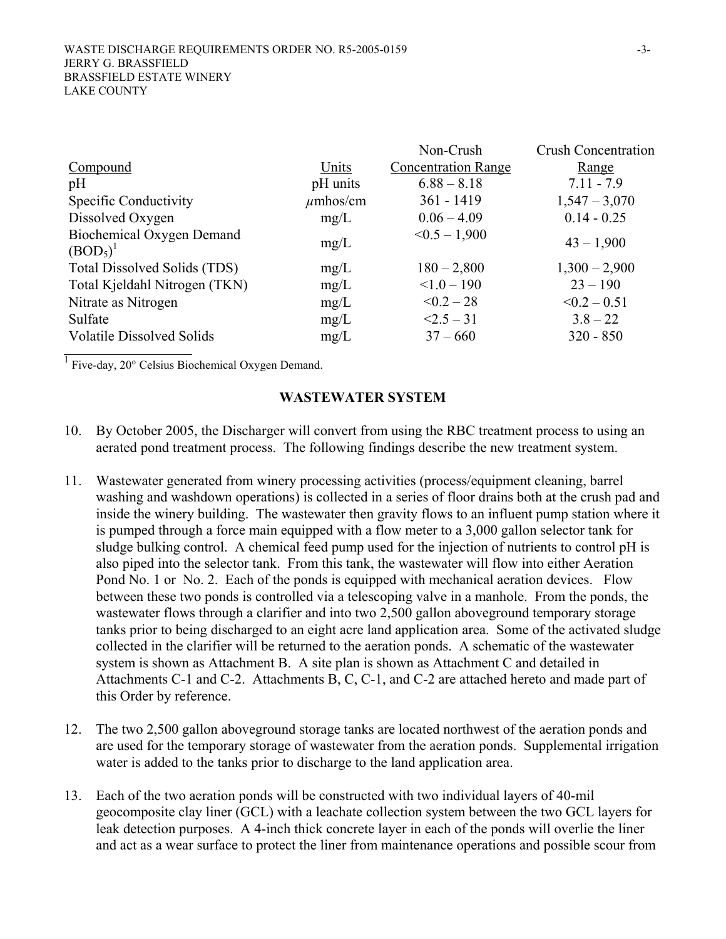|                                                  |               | Non-Crush                  | <b>Crush Concentration</b> |
|--------------------------------------------------|---------------|----------------------------|----------------------------|
| Compound                                         | Units         | <b>Concentration Range</b> | Range                      |
| pH                                               | pH units      | $6.88 - 8.18$              | $7.11 - 7.9$               |
| Specific Conductivity                            | $\mu$ mhos/cm | $361 - 1419$               | $1,547 - 3,070$            |
| Dissolved Oxygen                                 | mg/L          | $0.06 - 4.09$              | $0.14 - 0.25$              |
| Biochemical Oxygen Demand                        | mg/L          | $< 0.5 - 1,900$            | $43 - 1,900$               |
| (BOD <sub>5</sub> ) <sup>T</sup>                 |               |                            |                            |
| Total Dissolved Solids (TDS)                     | mg/L          | $180 - 2,800$              | $1,300 - 2,900$            |
| Total Kjeldahl Nitrogen (TKN)                    | mg/L          | $< 1.0 - 190$              | $23 - 190$                 |
| Nitrate as Nitrogen                              | mg/L          | $< 0.2 - 28$               | $\leq 0.2 - 0.51$          |
| Sulfate                                          | mg/L          | $<2.5-31$                  | $3.8 - 22$                 |
| <b>Volatile Dissolved Solids</b>                 | mg/L          | $37 - 660$                 | $320 - 850$                |
| Five-day, 20° Celsius Biochemical Oxygen Demand. |               |                            |                            |

### **WASTEWATER SYSTEM**

- 10. By October 2005, the Discharger will convert from using the RBC treatment process to using an aerated pond treatment process. The following findings describe the new treatment system.
- 11. Wastewater generated from winery processing activities (process/equipment cleaning, barrel washing and washdown operations) is collected in a series of floor drains both at the crush pad and inside the winery building. The wastewater then gravity flows to an influent pump station where it is pumped through a force main equipped with a flow meter to a 3,000 gallon selector tank for sludge bulking control. A chemical feed pump used for the injection of nutrients to control pH is also piped into the selector tank. From this tank, the wastewater will flow into either Aeration Pond No. 1 or No. 2. Each of the ponds is equipped with mechanical aeration devices. Flow between these two ponds is controlled via a telescoping valve in a manhole. From the ponds, the wastewater flows through a clarifier and into two 2,500 gallon aboveground temporary storage tanks prior to being discharged to an eight acre land application area. Some of the activated sludge collected in the clarifier will be returned to the aeration ponds. A schematic of the wastewater system is shown as Attachment B. A site plan is shown as Attachment C and detailed in Attachments C-1 and C-2. Attachments B, C, C-1, and C-2 are attached hereto and made part of this Order by reference.
- 12. The two 2,500 gallon aboveground storage tanks are located northwest of the aeration ponds and are used for the temporary storage of wastewater from the aeration ponds. Supplemental irrigation water is added to the tanks prior to discharge to the land application area.
- 13. Each of the two aeration ponds will be constructed with two individual layers of 40-mil geocomposite clay liner (GCL) with a leachate collection system between the two GCL layers for leak detection purposes. A 4-inch thick concrete layer in each of the ponds will overlie the liner and act as a wear surface to protect the liner from maintenance operations and possible scour from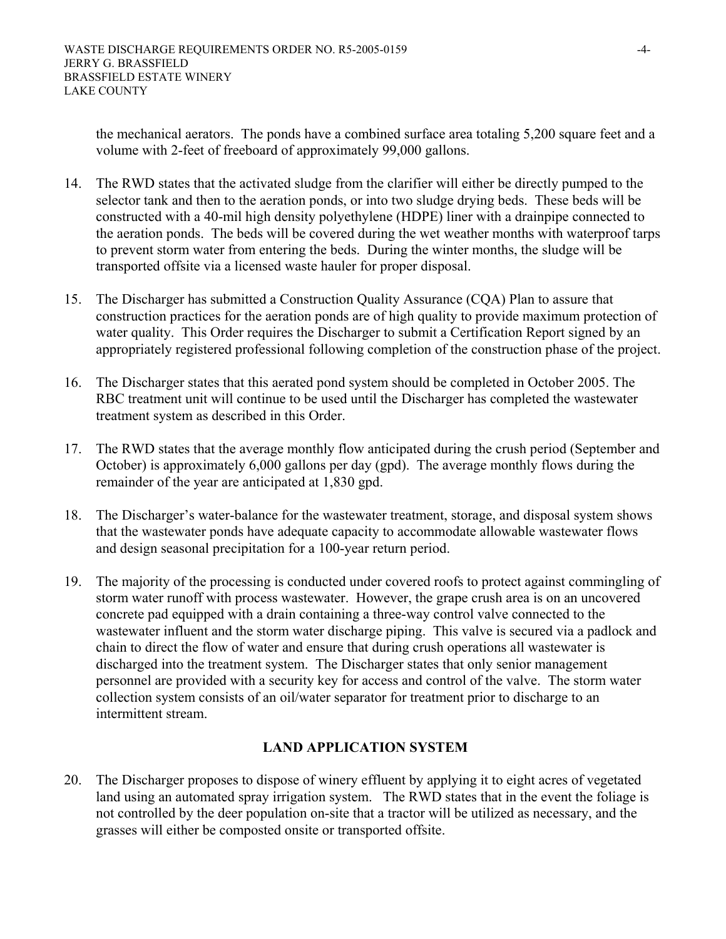the mechanical aerators. The ponds have a combined surface area totaling 5,200 square feet and a volume with 2-feet of freeboard of approximately 99,000 gallons.

- 14. The RWD states that the activated sludge from the clarifier will either be directly pumped to the selector tank and then to the aeration ponds, or into two sludge drying beds. These beds will be constructed with a 40-mil high density polyethylene (HDPE) liner with a drainpipe connected to the aeration ponds. The beds will be covered during the wet weather months with waterproof tarps to prevent storm water from entering the beds. During the winter months, the sludge will be transported offsite via a licensed waste hauler for proper disposal.
- 15. The Discharger has submitted a Construction Quality Assurance (CQA) Plan to assure that construction practices for the aeration ponds are of high quality to provide maximum protection of water quality. This Order requires the Discharger to submit a Certification Report signed by an appropriately registered professional following completion of the construction phase of the project.
- 16. The Discharger states that this aerated pond system should be completed in October 2005. The RBC treatment unit will continue to be used until the Discharger has completed the wastewater treatment system as described in this Order.
- 17. The RWD states that the average monthly flow anticipated during the crush period (September and October) is approximately 6,000 gallons per day (gpd). The average monthly flows during the remainder of the year are anticipated at 1,830 gpd.
- 18. The Discharger's water-balance for the wastewater treatment, storage, and disposal system shows that the wastewater ponds have adequate capacity to accommodate allowable wastewater flows and design seasonal precipitation for a 100-year return period.
- 19. The majority of the processing is conducted under covered roofs to protect against commingling of storm water runoff with process wastewater. However, the grape crush area is on an uncovered concrete pad equipped with a drain containing a three-way control valve connected to the wastewater influent and the storm water discharge piping. This valve is secured via a padlock and chain to direct the flow of water and ensure that during crush operations all wastewater is discharged into the treatment system. The Discharger states that only senior management personnel are provided with a security key for access and control of the valve. The storm water collection system consists of an oil/water separator for treatment prior to discharge to an intermittent stream.

# **LAND APPLICATION SYSTEM**

20. The Discharger proposes to dispose of winery effluent by applying it to eight acres of vegetated land using an automated spray irrigation system. The RWD states that in the event the foliage is not controlled by the deer population on-site that a tractor will be utilized as necessary, and the grasses will either be composted onsite or transported offsite.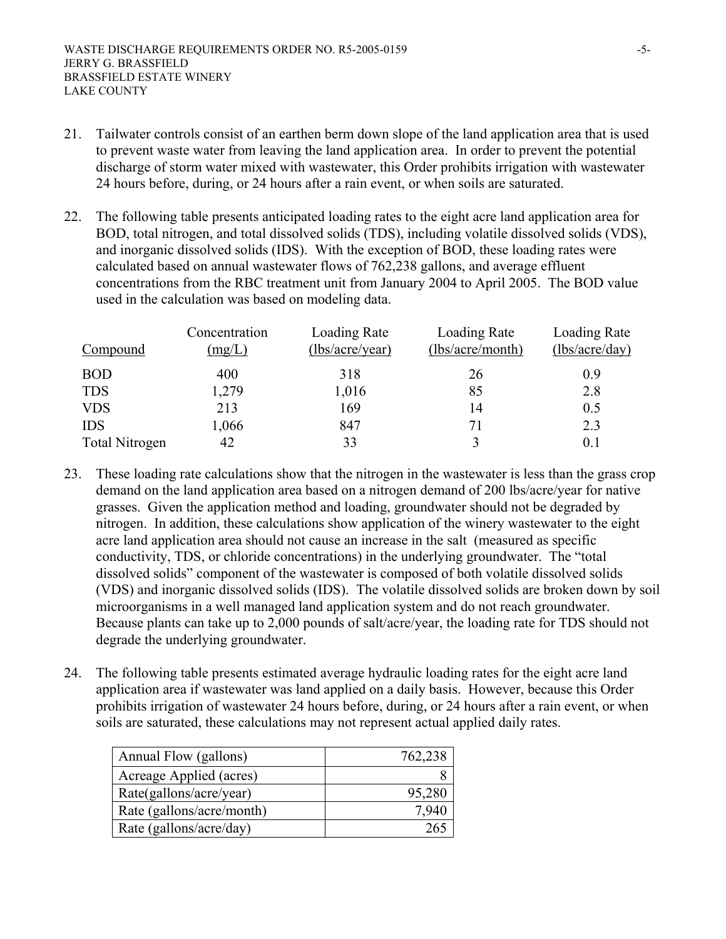- 21. Tailwater controls consist of an earthen berm down slope of the land application area that is used to prevent waste water from leaving the land application area. In order to prevent the potential discharge of storm water mixed with wastewater, this Order prohibits irrigation with wastewater 24 hours before, during, or 24 hours after a rain event, or when soils are saturated.
- 22. The following table presents anticipated loading rates to the eight acre land application area for BOD, total nitrogen, and total dissolved solids (TDS), including volatile dissolved solids (VDS), and inorganic dissolved solids (IDS). With the exception of BOD, these loading rates were calculated based on annual wastewater flows of 762,238 gallons, and average effluent concentrations from the RBC treatment unit from January 2004 to April 2005. The BOD value used in the calculation was based on modeling data.

| Compound              | Concentration<br>(mg/L) | Loading Rate<br>(lbs/acre/year) | Loading Rate<br>(lbs/acre/month) | Loading Rate<br>(lbs/acre/day) |
|-----------------------|-------------------------|---------------------------------|----------------------------------|--------------------------------|
| <b>BOD</b>            | 400                     | 318                             | 26                               | 0.9                            |
| <b>TDS</b>            | 1,279                   | 1,016                           | 85                               | 2.8                            |
| <b>VDS</b>            | 213                     | 169                             | 14                               | 0.5                            |
| <b>IDS</b>            | 1,066                   | 847                             | 71                               | 2.3                            |
| <b>Total Nitrogen</b> | 42                      | 33                              |                                  | 0.1                            |

- 23. These loading rate calculations show that the nitrogen in the wastewater is less than the grass crop demand on the land application area based on a nitrogen demand of 200 lbs/acre/year for native grasses. Given the application method and loading, groundwater should not be degraded by nitrogen. In addition, these calculations show application of the winery wastewater to the eight acre land application area should not cause an increase in the salt (measured as specific conductivity, TDS, or chloride concentrations) in the underlying groundwater. The "total dissolved solids" component of the wastewater is composed of both volatile dissolved solids (VDS) and inorganic dissolved solids (IDS). The volatile dissolved solids are broken down by soil microorganisms in a well managed land application system and do not reach groundwater. Because plants can take up to 2,000 pounds of salt/acre/year, the loading rate for TDS should not degrade the underlying groundwater.
- 24. The following table presents estimated average hydraulic loading rates for the eight acre land application area if wastewater was land applied on a daily basis. However, because this Order prohibits irrigation of wastewater 24 hours before, during, or 24 hours after a rain event, or when soils are saturated, these calculations may not represent actual applied daily rates.

| Annual Flow (gallons)     | 762,238 |
|---------------------------|---------|
| Acreage Applied (acres)   |         |
| Rate(gallons/acre/year)   | 95,280  |
| Rate (gallons/acre/month) | 7 940   |
| Rate (gallons/acre/day)   |         |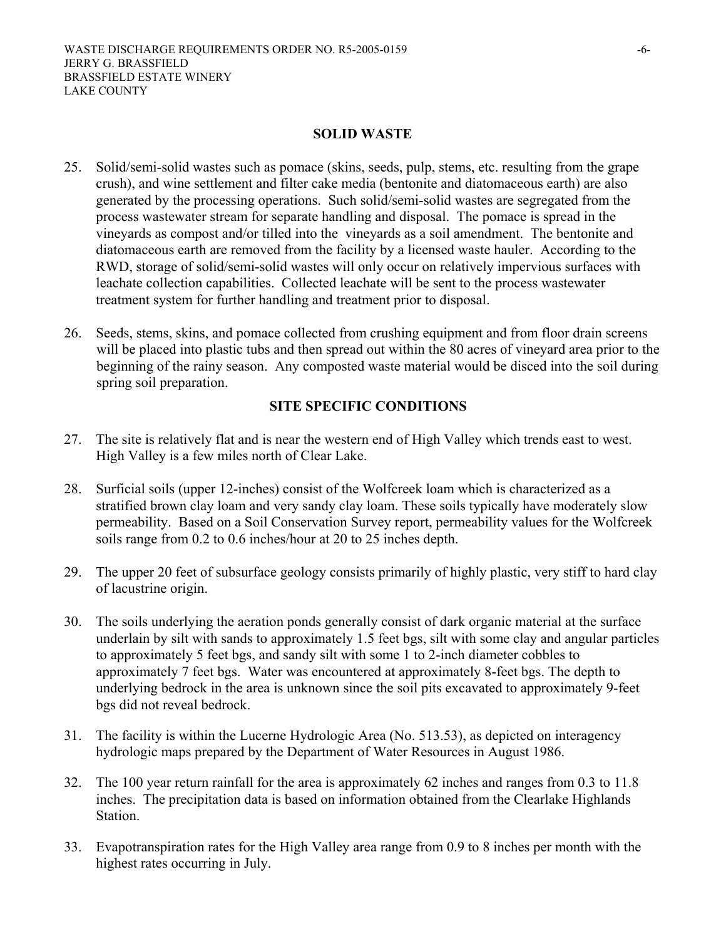#### **SOLID WASTE**

- 25. Solid/semi-solid wastes such as pomace (skins, seeds, pulp, stems, etc. resulting from the grape crush), and wine settlement and filter cake media (bentonite and diatomaceous earth) are also generated by the processing operations. Such solid/semi-solid wastes are segregated from the process wastewater stream for separate handling and disposal. The pomace is spread in the vineyards as compost and/or tilled into the vineyards as a soil amendment. The bentonite and diatomaceous earth are removed from the facility by a licensed waste hauler. According to the RWD, storage of solid/semi-solid wastes will only occur on relatively impervious surfaces with leachate collection capabilities. Collected leachate will be sent to the process wastewater treatment system for further handling and treatment prior to disposal.
- 26. Seeds, stems, skins, and pomace collected from crushing equipment and from floor drain screens will be placed into plastic tubs and then spread out within the 80 acres of vineyard area prior to the beginning of the rainy season. Any composted waste material would be disced into the soil during spring soil preparation.

# **SITE SPECIFIC CONDITIONS**

- 27. The site is relatively flat and is near the western end of High Valley which trends east to west. High Valley is a few miles north of Clear Lake.
- 28. Surficial soils (upper 12-inches) consist of the Wolfcreek loam which is characterized as a stratified brown clay loam and very sandy clay loam. These soils typically have moderately slow permeability. Based on a Soil Conservation Survey report, permeability values for the Wolfcreek soils range from 0.2 to 0.6 inches/hour at 20 to 25 inches depth.
- 29. The upper 20 feet of subsurface geology consists primarily of highly plastic, very stiff to hard clay of lacustrine origin.
- 30. The soils underlying the aeration ponds generally consist of dark organic material at the surface underlain by silt with sands to approximately 1.5 feet bgs, silt with some clay and angular particles to approximately 5 feet bgs, and sandy silt with some 1 to 2-inch diameter cobbles to approximately 7 feet bgs. Water was encountered at approximately 8-feet bgs. The depth to underlying bedrock in the area is unknown since the soil pits excavated to approximately 9-feet bgs did not reveal bedrock.
- 31. The facility is within the Lucerne Hydrologic Area (No. 513.53), as depicted on interagency hydrologic maps prepared by the Department of Water Resources in August 1986.
- 32. The 100 year return rainfall for the area is approximately 62 inches and ranges from 0.3 to 11.8 inches. The precipitation data is based on information obtained from the Clearlake Highlands Station.
- 33. Evapotranspiration rates for the High Valley area range from 0.9 to 8 inches per month with the highest rates occurring in July.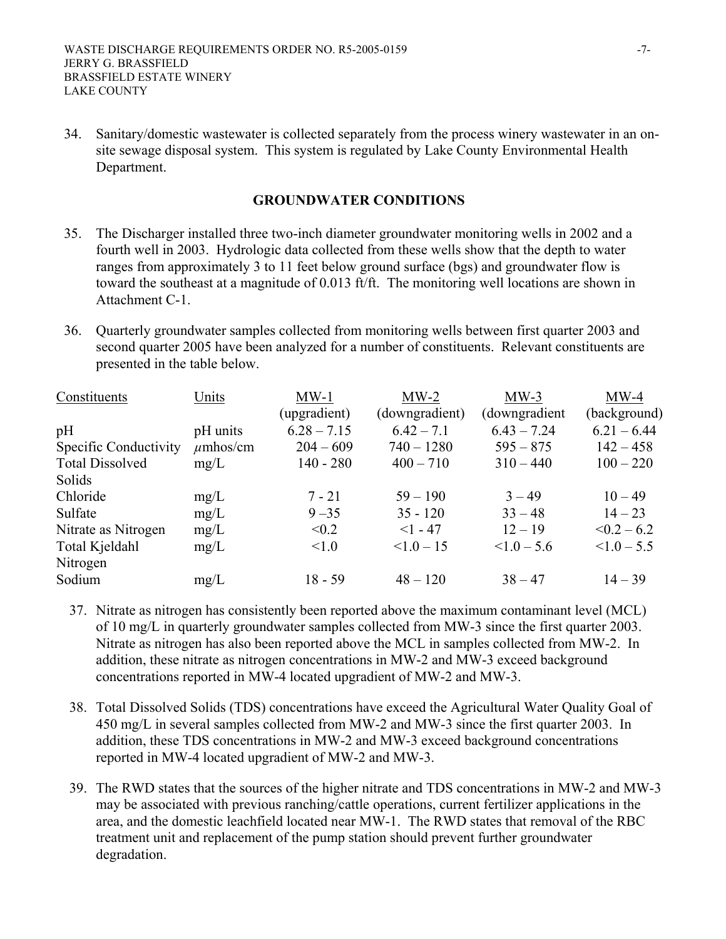34. Sanitary/domestic wastewater is collected separately from the process winery wastewater in an onsite sewage disposal system. This system is regulated by Lake County Environmental Health Department.

#### **GROUNDWATER CONDITIONS**

- 35. The Discharger installed three two-inch diameter groundwater monitoring wells in 2002 and a fourth well in 2003. Hydrologic data collected from these wells show that the depth to water ranges from approximately 3 to 11 feet below ground surface (bgs) and groundwater flow is toward the southeast at a magnitude of 0.013 ft/ft. The monitoring well locations are shown in Attachment C-1.
- 36. Quarterly groundwater samples collected from monitoring wells between first quarter 2003 and second quarter 2005 have been analyzed for a number of constituents. Relevant constituents are presented in the table below.

| Constituents           | Units         | $MW-1$        | $MW-2$          | $MW-3$           | $MW-4$           |
|------------------------|---------------|---------------|-----------------|------------------|------------------|
|                        |               | (upgradient)  | (downgradient)  | (downgradient    | (background)     |
| pH                     | pH units      | $6.28 - 7.15$ | $6.42 - 7.1$    | $6.43 - 7.24$    | $6.21 - 6.44$    |
| Specific Conductivity  | $\mu$ mhos/cm | $204 - 609$   | $740 - 1280$    | $595 - 875$      | $142 - 458$      |
| <b>Total Dissolved</b> | mg/L          | $140 - 280$   | $400 - 710$     | $310 - 440$      | $100 - 220$      |
| Solids                 |               |               |                 |                  |                  |
| Chloride               | mg/L          | $7 - 21$      | $59 - 190$      | $3 - 49$         | $10 - 49$        |
| Sulfate                | mg/L          | $9 - 35$      | $35 - 120$      | $33 - 48$        | $14 - 23$        |
| Nitrate as Nitrogen    | mg/L          | < 0.2         | $<1 - 47$       | $12 - 19$        | $\leq 0.2 - 6.2$ |
| Total Kjeldahl         | mg/L          | < 1.0         | $\leq 1.0 - 15$ | $\leq 1.0 - 5.6$ | $\leq 1.0 - 5.5$ |
| Nitrogen               |               |               |                 |                  |                  |
| Sodium                 | mg/L          | $18 - 59$     | $48 - 120$      | $38 - 47$        | $14 - 39$        |

- 37. Nitrate as nitrogen has consistently been reported above the maximum contaminant level (MCL) of 10 mg/L in quarterly groundwater samples collected from MW-3 since the first quarter 2003. Nitrate as nitrogen has also been reported above the MCL in samples collected from MW-2. In addition, these nitrate as nitrogen concentrations in MW-2 and MW-3 exceed background concentrations reported in MW-4 located upgradient of MW-2 and MW-3.
- 38. Total Dissolved Solids (TDS) concentrations have exceed the Agricultural Water Quality Goal of 450 mg/L in several samples collected from MW-2 and MW-3 since the first quarter 2003. In addition, these TDS concentrations in MW-2 and MW-3 exceed background concentrations reported in MW-4 located upgradient of MW-2 and MW-3.
- 39. The RWD states that the sources of the higher nitrate and TDS concentrations in MW-2 and MW-3 may be associated with previous ranching/cattle operations, current fertilizer applications in the area, and the domestic leachfield located near MW-1. The RWD states that removal of the RBC treatment unit and replacement of the pump station should prevent further groundwater degradation.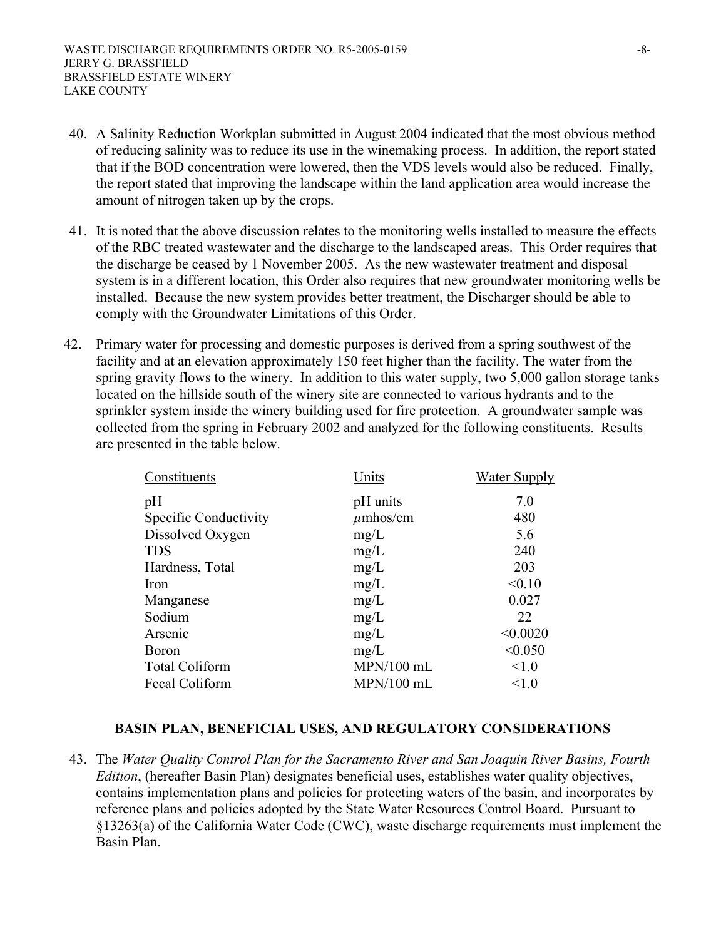- 40. A Salinity Reduction Workplan submitted in August 2004 indicated that the most obvious method of reducing salinity was to reduce its use in the winemaking process. In addition, the report stated that if the BOD concentration were lowered, then the VDS levels would also be reduced. Finally, the report stated that improving the landscape within the land application area would increase the amount of nitrogen taken up by the crops.
- 41. It is noted that the above discussion relates to the monitoring wells installed to measure the effects of the RBC treated wastewater and the discharge to the landscaped areas. This Order requires that the discharge be ceased by 1 November 2005. As the new wastewater treatment and disposal system is in a different location, this Order also requires that new groundwater monitoring wells be installed. Because the new system provides better treatment, the Discharger should be able to comply with the Groundwater Limitations of this Order.
- 42. Primary water for processing and domestic purposes is derived from a spring southwest of the facility and at an elevation approximately 150 feet higher than the facility. The water from the spring gravity flows to the winery. In addition to this water supply, two 5,000 gallon storage tanks located on the hillside south of the winery site are connected to various hydrants and to the sprinkler system inside the winery building used for fire protection. A groundwater sample was collected from the spring in February 2002 and analyzed for the following constituents. Results are presented in the table below.

| Constituents          | Units         | Water Supply |
|-----------------------|---------------|--------------|
| pH                    | pH units      | 7.0          |
| Specific Conductivity | $\mu$ mhos/cm | 480          |
| Dissolved Oxygen      | mg/L          | 5.6          |
| <b>TDS</b>            | mg/L          | 240          |
| Hardness, Total       | mg/L          | 203          |
| Iron                  | mg/L          | < 0.10       |
| Manganese             | mg/L          | 0.027        |
| Sodium                | mg/L          | 22           |
| Arsenic               | mg/L          | < 0.0020     |
| <b>Boron</b>          | mg/L          | < 0.050      |
| <b>Total Coliform</b> | MPN/100 mL    | < 1.0        |
| Fecal Coliform        | MPN/100 mL    | < 1.0        |

# **BASIN PLAN, BENEFICIAL USES, AND REGULATORY CONSIDERATIONS**

43. The *Water Quality Control Plan for the Sacramento River and San Joaquin River Basins, Fourth Edition*, (hereafter Basin Plan) designates beneficial uses, establishes water quality objectives, contains implementation plans and policies for protecting waters of the basin, and incorporates by reference plans and policies adopted by the State Water Resources Control Board. Pursuant to §13263(a) of the California Water Code (CWC), waste discharge requirements must implement the Basin Plan.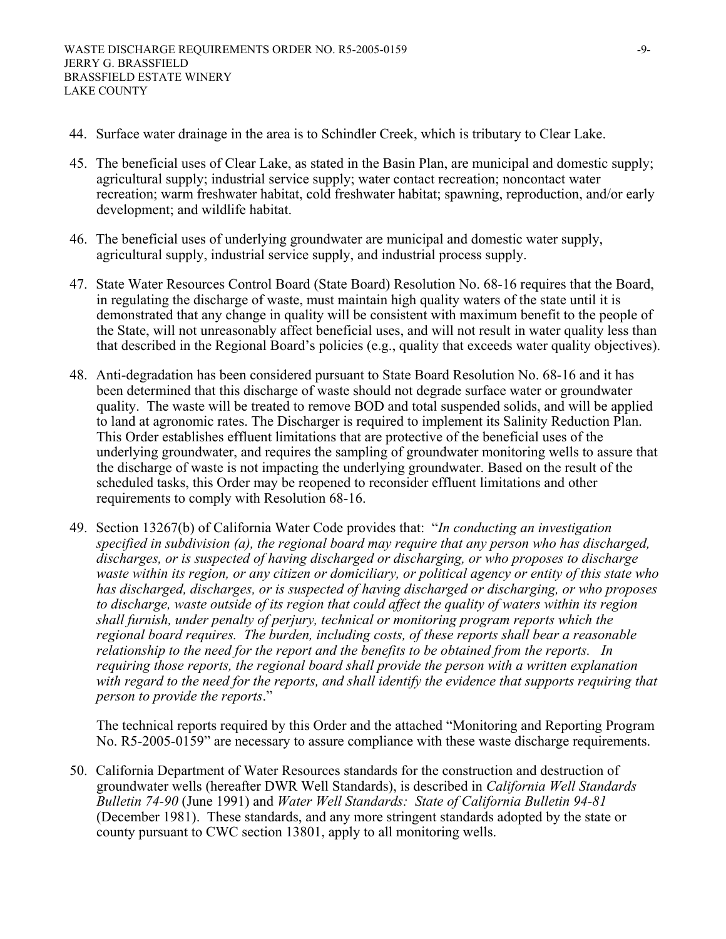- 44. Surface water drainage in the area is to Schindler Creek, which is tributary to Clear Lake.
- 45. The beneficial uses of Clear Lake, as stated in the Basin Plan, are municipal and domestic supply; agricultural supply; industrial service supply; water contact recreation; noncontact water recreation; warm freshwater habitat, cold freshwater habitat; spawning, reproduction, and/or early development; and wildlife habitat.
- 46. The beneficial uses of underlying groundwater are municipal and domestic water supply, agricultural supply, industrial service supply, and industrial process supply.
- 47. State Water Resources Control Board (State Board) Resolution No. 68-16 requires that the Board, in regulating the discharge of waste, must maintain high quality waters of the state until it is demonstrated that any change in quality will be consistent with maximum benefit to the people of the State, will not unreasonably affect beneficial uses, and will not result in water quality less than that described in the Regional Board's policies (e.g., quality that exceeds water quality objectives).
- 48. Anti-degradation has been considered pursuant to State Board Resolution No. 68-16 and it has been determined that this discharge of waste should not degrade surface water or groundwater quality. The waste will be treated to remove BOD and total suspended solids, and will be applied to land at agronomic rates. The Discharger is required to implement its Salinity Reduction Plan. This Order establishes effluent limitations that are protective of the beneficial uses of the underlying groundwater, and requires the sampling of groundwater monitoring wells to assure that the discharge of waste is not impacting the underlying groundwater. Based on the result of the scheduled tasks, this Order may be reopened to reconsider effluent limitations and other requirements to comply with Resolution 68-16.
- 49. Section 13267(b) of California Water Code provides that: "*In conducting an investigation specified in subdivision (a), the regional board may require that any person who has discharged, discharges, or is suspected of having discharged or discharging, or who proposes to discharge waste within its region, or any citizen or domiciliary, or political agency or entity of this state who has discharged, discharges, or is suspected of having discharged or discharging, or who proposes to discharge, waste outside of its region that could affect the quality of waters within its region shall furnish, under penalty of perjury, technical or monitoring program reports which the regional board requires. The burden, including costs, of these reports shall bear a reasonable relationship to the need for the report and the benefits to be obtained from the reports. In requiring those reports, the regional board shall provide the person with a written explanation*  with regard to the need for the reports, and shall identify the evidence that supports requiring that *person to provide the reports*."

The technical reports required by this Order and the attached "Monitoring and Reporting Program No. R5-2005-0159" are necessary to assure compliance with these waste discharge requirements.

50. California Department of Water Resources standards for the construction and destruction of groundwater wells (hereafter DWR Well Standards), is described in *California Well Standards Bulletin 74-90* (June 1991) and *Water Well Standards: State of California Bulletin 94-81* (December 1981). These standards, and any more stringent standards adopted by the state or county pursuant to CWC section 13801, apply to all monitoring wells.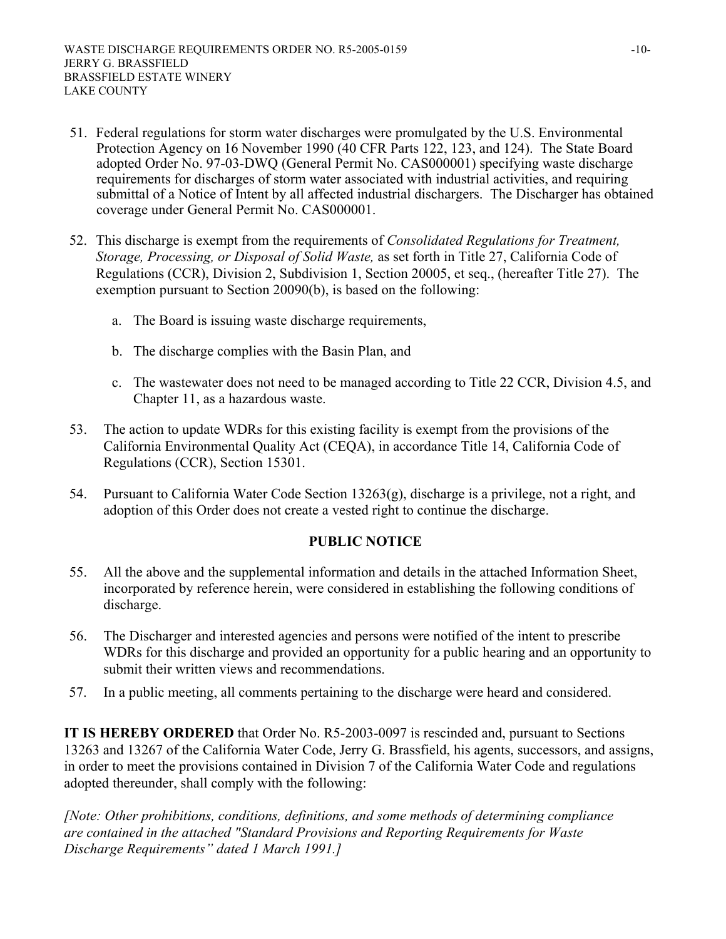- 51. Federal regulations for storm water discharges were promulgated by the U.S. Environmental Protection Agency on 16 November 1990 (40 CFR Parts 122, 123, and 124). The State Board adopted Order No. 97-03-DWQ (General Permit No. CAS000001) specifying waste discharge requirements for discharges of storm water associated with industrial activities, and requiring submittal of a Notice of Intent by all affected industrial dischargers. The Discharger has obtained coverage under General Permit No. CAS000001.
- 52. This discharge is exempt from the requirements of *Consolidated Regulations for Treatment, Storage, Processing, or Disposal of Solid Waste,* as set forth in Title 27, California Code of Regulations (CCR), Division 2, Subdivision 1, Section 20005, et seq., (hereafter Title 27). The exemption pursuant to Section 20090(b), is based on the following:
	- a. The Board is issuing waste discharge requirements,
	- b. The discharge complies with the Basin Plan, and
	- c. The wastewater does not need to be managed according to Title 22 CCR, Division 4.5, and Chapter 11, as a hazardous waste.
- 53. The action to update WDRs for this existing facility is exempt from the provisions of the California Environmental Quality Act (CEQA), in accordance Title 14, California Code of Regulations (CCR), Section 15301.
- 54. Pursuant to California Water Code Section 13263(g), discharge is a privilege, not a right, and adoption of this Order does not create a vested right to continue the discharge.

# **PUBLIC NOTICE**

- 55. All the above and the supplemental information and details in the attached Information Sheet, incorporated by reference herein, were considered in establishing the following conditions of discharge.
- 56. The Discharger and interested agencies and persons were notified of the intent to prescribe WDRs for this discharge and provided an opportunity for a public hearing and an opportunity to submit their written views and recommendations.
- 57. In a public meeting, all comments pertaining to the discharge were heard and considered.

**IT IS HEREBY ORDERED** that Order No. R5-2003-0097 is rescinded and, pursuant to Sections 13263 and 13267 of the California Water Code, Jerry G. Brassfield, his agents, successors, and assigns, in order to meet the provisions contained in Division 7 of the California Water Code and regulations adopted thereunder, shall comply with the following:

*[Note: Other prohibitions, conditions, definitions, and some methods of determining compliance are contained in the attached "Standard Provisions and Reporting Requirements for Waste Discharge Requirements" dated 1 March 1991.]*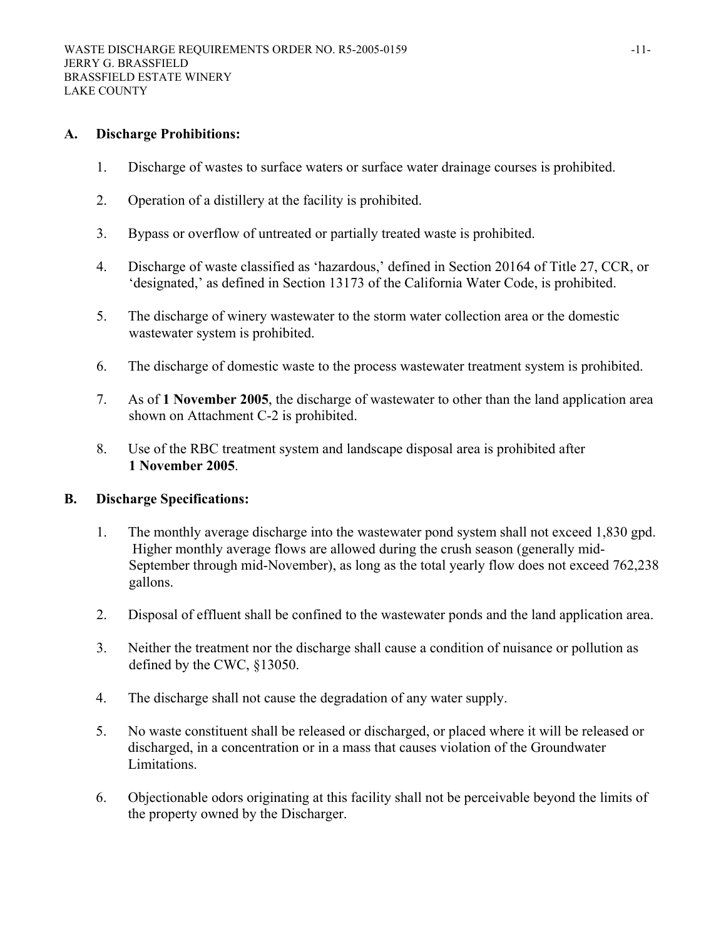#### **A. Discharge Prohibitions:**

- 1. Discharge of wastes to surface waters or surface water drainage courses is prohibited.
- 2. Operation of a distillery at the facility is prohibited.
- 3. Bypass or overflow of untreated or partially treated waste is prohibited.
- 4. Discharge of waste classified as 'hazardous,' defined in Section 20164 of Title 27, CCR, or 'designated,' as defined in Section 13173 of the California Water Code, is prohibited.
- 5. The discharge of winery wastewater to the storm water collection area or the domestic wastewater system is prohibited.
- 6. The discharge of domestic waste to the process wastewater treatment system is prohibited.
- 7. As of **1 November 2005**, the discharge of wastewater to other than the land application area shown on Attachment C-2 is prohibited.
- 8. Use of the RBC treatment system and landscape disposal area is prohibited after **1 November 2005**.

#### **B. Discharge Specifications:**

- 1. The monthly average discharge into the wastewater pond system shall not exceed 1,830 gpd. Higher monthly average flows are allowed during the crush season (generally mid-September through mid-November), as long as the total yearly flow does not exceed 762,238 gallons.
- 2. Disposal of effluent shall be confined to the wastewater ponds and the land application area.
- 3. Neither the treatment nor the discharge shall cause a condition of nuisance or pollution as defined by the CWC, §13050.
- 4. The discharge shall not cause the degradation of any water supply.
- 5. No waste constituent shall be released or discharged, or placed where it will be released or discharged, in a concentration or in a mass that causes violation of the Groundwater Limitations.
- 6. Objectionable odors originating at this facility shall not be perceivable beyond the limits of the property owned by the Discharger.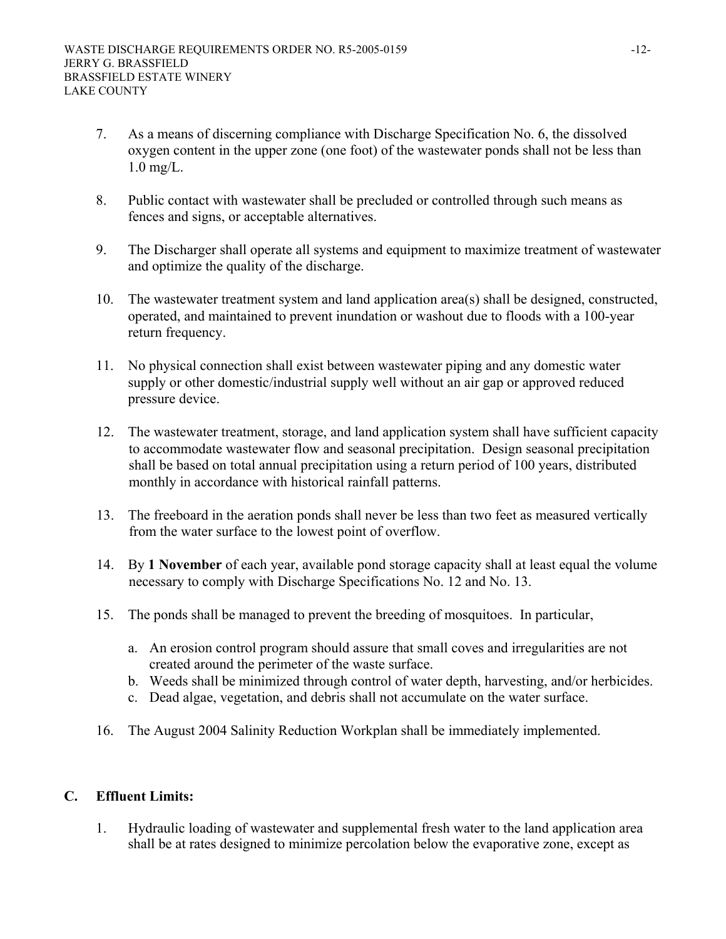- 7. As a means of discerning compliance with Discharge Specification No. 6, the dissolved oxygen content in the upper zone (one foot) of the wastewater ponds shall not be less than 1.0 mg/L.
- 8. Public contact with wastewater shall be precluded or controlled through such means as fences and signs, or acceptable alternatives.
- 9. The Discharger shall operate all systems and equipment to maximize treatment of wastewater and optimize the quality of the discharge.
- 10. The wastewater treatment system and land application area(s) shall be designed, constructed, operated, and maintained to prevent inundation or washout due to floods with a 100-year return frequency.
- 11. No physical connection shall exist between wastewater piping and any domestic water supply or other domestic/industrial supply well without an air gap or approved reduced pressure device.
- 12. The wastewater treatment, storage, and land application system shall have sufficient capacity to accommodate wastewater flow and seasonal precipitation. Design seasonal precipitation shall be based on total annual precipitation using a return period of 100 years, distributed monthly in accordance with historical rainfall patterns.
- 13. The freeboard in the aeration ponds shall never be less than two feet as measured vertically from the water surface to the lowest point of overflow.
- 14. By **1 November** of each year, available pond storage capacity shall at least equal the volume necessary to comply with Discharge Specifications No. 12 and No. 13.
- 15. The ponds shall be managed to prevent the breeding of mosquitoes. In particular,
	- a. An erosion control program should assure that small coves and irregularities are not created around the perimeter of the waste surface.
	- b. Weeds shall be minimized through control of water depth, harvesting, and/or herbicides.
	- c. Dead algae, vegetation, and debris shall not accumulate on the water surface.
- 16. The August 2004 Salinity Reduction Workplan shall be immediately implemented.

# **C. Effluent Limits:**

1. Hydraulic loading of wastewater and supplemental fresh water to the land application area shall be at rates designed to minimize percolation below the evaporative zone, except as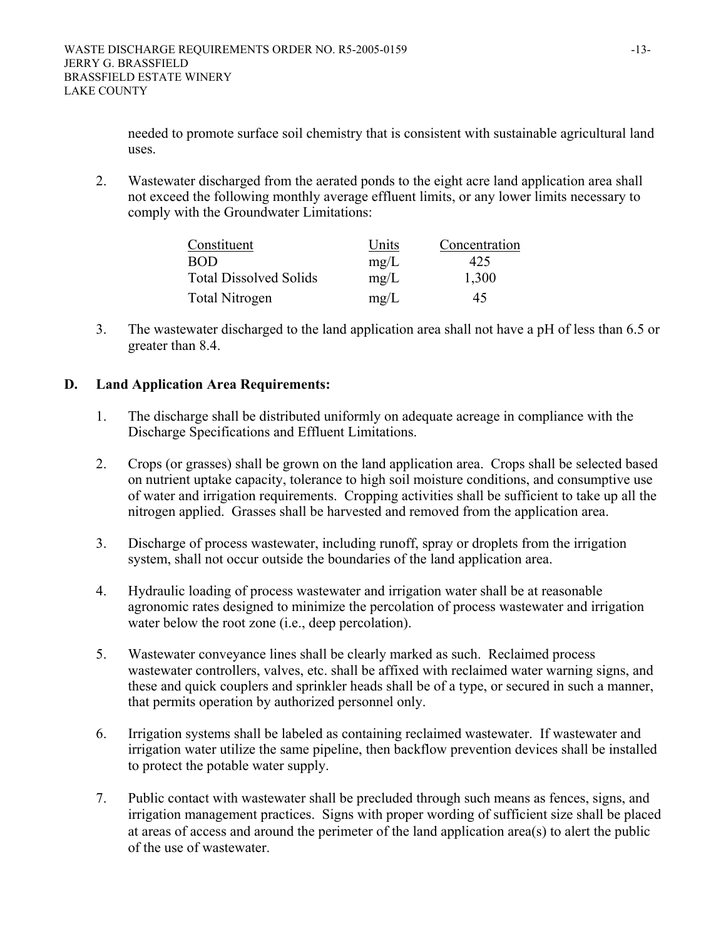needed to promote surface soil chemistry that is consistent with sustainable agricultural land uses.

2. Wastewater discharged from the aerated ponds to the eight acre land application area shall not exceed the following monthly average effluent limits, or any lower limits necessary to comply with the Groundwater Limitations:

| Constituent                   | Units | Concentration |
|-------------------------------|-------|---------------|
| <b>BOD</b>                    | mg/L  | 425           |
| <b>Total Dissolved Solids</b> | mg/L  | 1,300         |
| Total Nitrogen                | mg/L  | 45            |

3. The wastewater discharged to the land application area shall not have a pH of less than 6.5 or greater than 8.4.

# **D. Land Application Area Requirements:**

- 1. The discharge shall be distributed uniformly on adequate acreage in compliance with the Discharge Specifications and Effluent Limitations.
- 2. Crops (or grasses) shall be grown on the land application area. Crops shall be selected based on nutrient uptake capacity, tolerance to high soil moisture conditions, and consumptive use of water and irrigation requirements. Cropping activities shall be sufficient to take up all the nitrogen applied. Grasses shall be harvested and removed from the application area.
- 3. Discharge of process wastewater, including runoff, spray or droplets from the irrigation system, shall not occur outside the boundaries of the land application area.
- 4. Hydraulic loading of process wastewater and irrigation water shall be at reasonable agronomic rates designed to minimize the percolation of process wastewater and irrigation water below the root zone (i.e., deep percolation).
- 5. Wastewater conveyance lines shall be clearly marked as such. Reclaimed process wastewater controllers, valves, etc. shall be affixed with reclaimed water warning signs, and these and quick couplers and sprinkler heads shall be of a type, or secured in such a manner, that permits operation by authorized personnel only.
- 6. Irrigation systems shall be labeled as containing reclaimed wastewater. If wastewater and irrigation water utilize the same pipeline, then backflow prevention devices shall be installed to protect the potable water supply.
- 7. Public contact with wastewater shall be precluded through such means as fences, signs, and irrigation management practices. Signs with proper wording of sufficient size shall be placed at areas of access and around the perimeter of the land application area(s) to alert the public of the use of wastewater.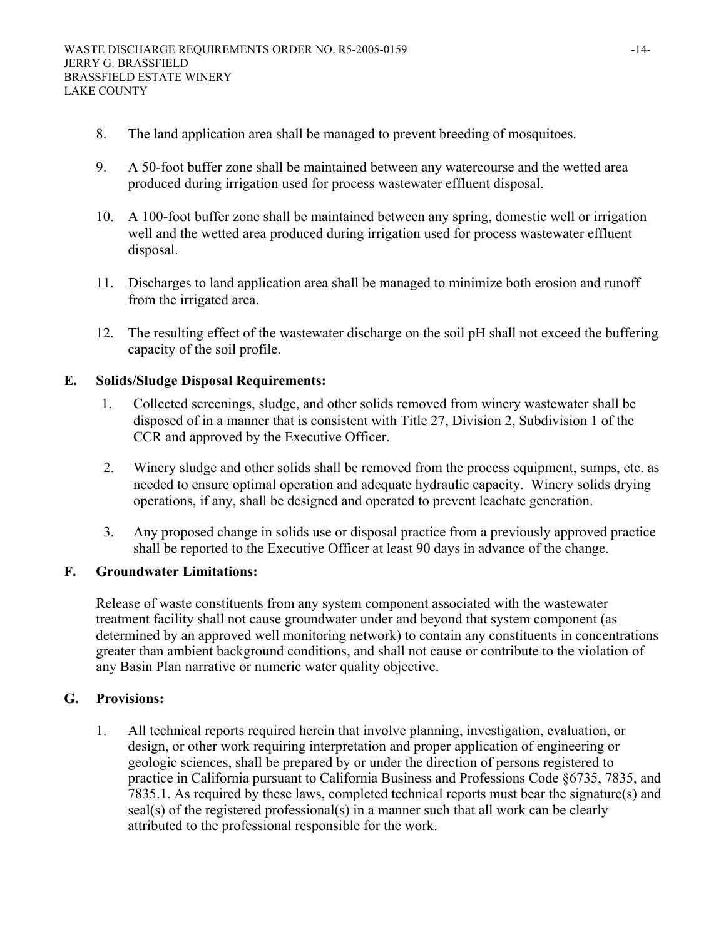- 8. The land application area shall be managed to prevent breeding of mosquitoes.
- 9. A 50-foot buffer zone shall be maintained between any watercourse and the wetted area produced during irrigation used for process wastewater effluent disposal.
- 10. A 100-foot buffer zone shall be maintained between any spring, domestic well or irrigation well and the wetted area produced during irrigation used for process wastewater effluent disposal.
- 11. Discharges to land application area shall be managed to minimize both erosion and runoff from the irrigated area.
- 12. The resulting effect of the wastewater discharge on the soil pH shall not exceed the buffering capacity of the soil profile.

#### **E. Solids/Sludge Disposal Requirements:**

- 1. Collected screenings, sludge, and other solids removed from winery wastewater shall be disposed of in a manner that is consistent with Title 27, Division 2, Subdivision 1 of the CCR and approved by the Executive Officer.
- 2. Winery sludge and other solids shall be removed from the process equipment, sumps, etc. as needed to ensure optimal operation and adequate hydraulic capacity. Winery solids drying operations, if any, shall be designed and operated to prevent leachate generation.
- 3. Any proposed change in solids use or disposal practice from a previously approved practice shall be reported to the Executive Officer at least 90 days in advance of the change.

#### **F. Groundwater Limitations:**

Release of waste constituents from any system component associated with the wastewater treatment facility shall not cause groundwater under and beyond that system component (as determined by an approved well monitoring network) to contain any constituents in concentrations greater than ambient background conditions, and shall not cause or contribute to the violation of any Basin Plan narrative or numeric water quality objective.

#### **G. Provisions:**

1. All technical reports required herein that involve planning, investigation, evaluation, or design, or other work requiring interpretation and proper application of engineering or geologic sciences, shall be prepared by or under the direction of persons registered to practice in California pursuant to California Business and Professions Code §6735, 7835, and 7835.1. As required by these laws, completed technical reports must bear the signature(s) and seal(s) of the registered professional(s) in a manner such that all work can be clearly attributed to the professional responsible for the work.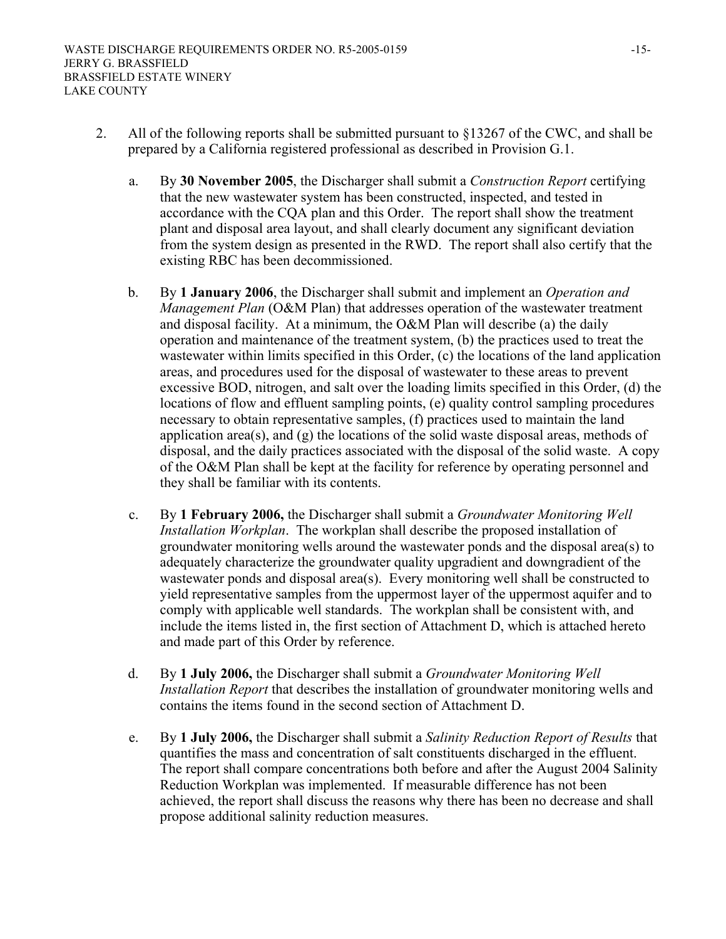- 2. All of the following reports shall be submitted pursuant to §13267 of the CWC, and shall be prepared by a California registered professional as described in Provision G.1.
	- a. By **30 November 2005**, the Discharger shall submit a *Construction Report* certifying that the new wastewater system has been constructed, inspected, and tested in accordance with the CQA plan and this Order. The report shall show the treatment plant and disposal area layout, and shall clearly document any significant deviation from the system design as presented in the RWD. The report shall also certify that the existing RBC has been decommissioned.
	- b. By **1 January 2006**, the Discharger shall submit and implement an *Operation and Management Plan* (O&M Plan) that addresses operation of the wastewater treatment and disposal facility. At a minimum, the O&M Plan will describe (a) the daily operation and maintenance of the treatment system, (b) the practices used to treat the wastewater within limits specified in this Order, (c) the locations of the land application areas, and procedures used for the disposal of wastewater to these areas to prevent excessive BOD, nitrogen, and salt over the loading limits specified in this Order, (d) the locations of flow and effluent sampling points, (e) quality control sampling procedures necessary to obtain representative samples, (f) practices used to maintain the land application area(s), and (g) the locations of the solid waste disposal areas, methods of disposal, and the daily practices associated with the disposal of the solid waste. A copy of the O&M Plan shall be kept at the facility for reference by operating personnel and they shall be familiar with its contents.
	- c. By **1 February 2006,** the Discharger shall submit a *Groundwater Monitoring Well Installation Workplan*. The workplan shall describe the proposed installation of groundwater monitoring wells around the wastewater ponds and the disposal area(s) to adequately characterize the groundwater quality upgradient and downgradient of the wastewater ponds and disposal area(s). Every monitoring well shall be constructed to yield representative samples from the uppermost layer of the uppermost aquifer and to comply with applicable well standards. The workplan shall be consistent with, and include the items listed in, the first section of Attachment D, which is attached hereto and made part of this Order by reference.
	- d. By **1 July 2006,** the Discharger shall submit a *Groundwater Monitoring Well Installation Report* that describes the installation of groundwater monitoring wells and contains the items found in the second section of Attachment D.
	- e. By **1 July 2006,** the Discharger shall submit a *Salinity Reduction Report of Results* that quantifies the mass and concentration of salt constituents discharged in the effluent. The report shall compare concentrations both before and after the August 2004 Salinity Reduction Workplan was implemented. If measurable difference has not been achieved, the report shall discuss the reasons why there has been no decrease and shall propose additional salinity reduction measures.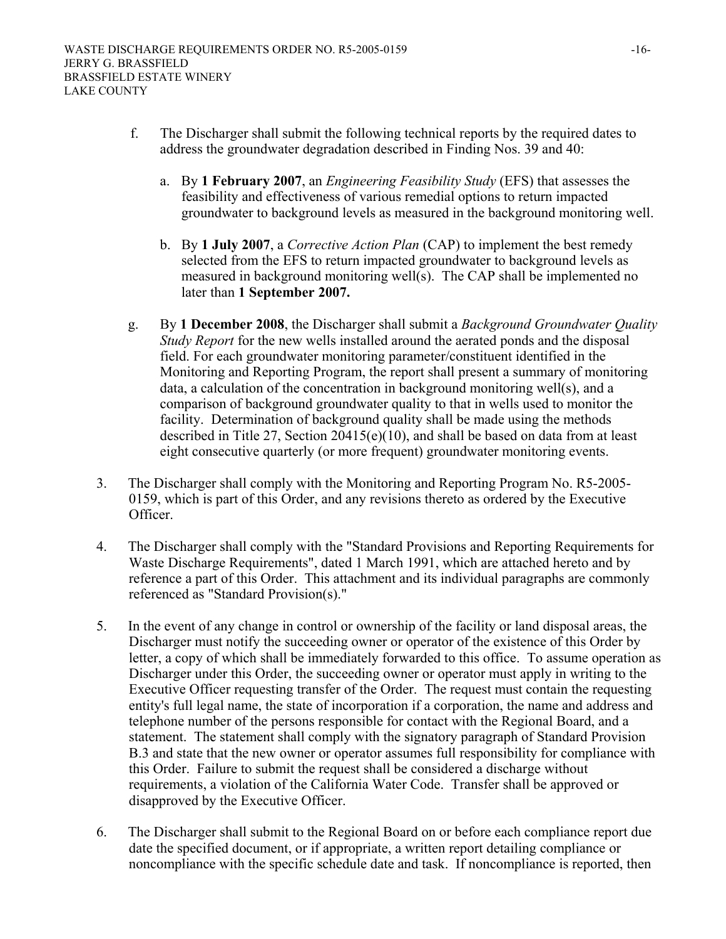- f. The Discharger shall submit the following technical reports by the required dates to address the groundwater degradation described in Finding Nos. 39 and 40:
	- a. By **1 February 2007**, an *Engineering Feasibility Study* (EFS) that assesses the feasibility and effectiveness of various remedial options to return impacted groundwater to background levels as measured in the background monitoring well.
	- b. By **1 July 2007**, a *Corrective Action Plan* (CAP) to implement the best remedy selected from the EFS to return impacted groundwater to background levels as measured in background monitoring well(s). The CAP shall be implemented no later than **1 September 2007.**
- g. By **1 December 2008**, the Discharger shall submit a *Background Groundwater Quality Study Report* for the new wells installed around the aerated ponds and the disposal field. For each groundwater monitoring parameter/constituent identified in the Monitoring and Reporting Program, the report shall present a summary of monitoring data, a calculation of the concentration in background monitoring well(s), and a comparison of background groundwater quality to that in wells used to monitor the facility. Determination of background quality shall be made using the methods described in Title 27, Section 20415(e)(10), and shall be based on data from at least eight consecutive quarterly (or more frequent) groundwater monitoring events.
- 3. The Discharger shall comply with the Monitoring and Reporting Program No. R5-2005- 0159, which is part of this Order, and any revisions thereto as ordered by the Executive Officer.
- 4. The Discharger shall comply with the "Standard Provisions and Reporting Requirements for Waste Discharge Requirements", dated 1 March 1991, which are attached hereto and by reference a part of this Order. This attachment and its individual paragraphs are commonly referenced as "Standard Provision(s)."
- 5. In the event of any change in control or ownership of the facility or land disposal areas, the Discharger must notify the succeeding owner or operator of the existence of this Order by letter, a copy of which shall be immediately forwarded to this office. To assume operation as Discharger under this Order, the succeeding owner or operator must apply in writing to the Executive Officer requesting transfer of the Order. The request must contain the requesting entity's full legal name, the state of incorporation if a corporation, the name and address and telephone number of the persons responsible for contact with the Regional Board, and a statement. The statement shall comply with the signatory paragraph of Standard Provision B.3 and state that the new owner or operator assumes full responsibility for compliance with this Order. Failure to submit the request shall be considered a discharge without requirements, a violation of the California Water Code. Transfer shall be approved or disapproved by the Executive Officer.
- 6. The Discharger shall submit to the Regional Board on or before each compliance report due date the specified document, or if appropriate, a written report detailing compliance or noncompliance with the specific schedule date and task. If noncompliance is reported, then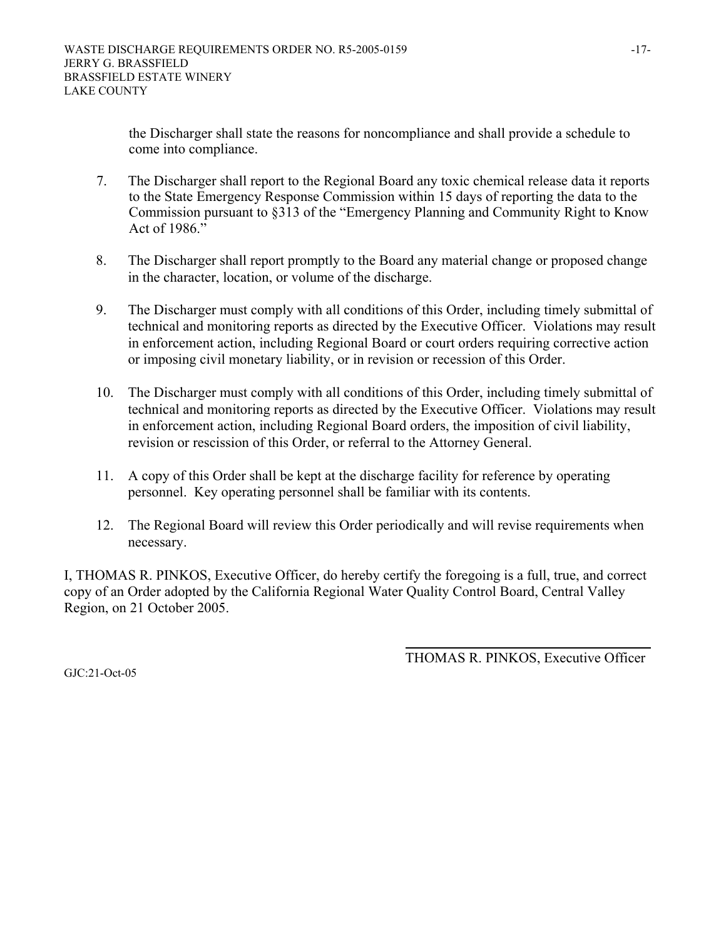the Discharger shall state the reasons for noncompliance and shall provide a schedule to come into compliance.

- 7. The Discharger shall report to the Regional Board any toxic chemical release data it reports to the State Emergency Response Commission within 15 days of reporting the data to the Commission pursuant to §313 of the "Emergency Planning and Community Right to Know Act of 1986."
- 8. The Discharger shall report promptly to the Board any material change or proposed change in the character, location, or volume of the discharge.
- 9. The Discharger must comply with all conditions of this Order, including timely submittal of technical and monitoring reports as directed by the Executive Officer. Violations may result in enforcement action, including Regional Board or court orders requiring corrective action or imposing civil monetary liability, or in revision or recession of this Order.
- 10. The Discharger must comply with all conditions of this Order, including timely submittal of technical and monitoring reports as directed by the Executive Officer. Violations may result in enforcement action, including Regional Board orders, the imposition of civil liability, revision or rescission of this Order, or referral to the Attorney General.
- 11. A copy of this Order shall be kept at the discharge facility for reference by operating personnel. Key operating personnel shall be familiar with its contents.
- 12. The Regional Board will review this Order periodically and will revise requirements when necessary.

I, THOMAS R. PINKOS, Executive Officer, do hereby certify the foregoing is a full, true, and correct copy of an Order adopted by the California Regional Water Quality Control Board, Central Valley Region, on 21 October 2005.

THOMAS R. PINKOS, Executive Officer

GJC:21-Oct-05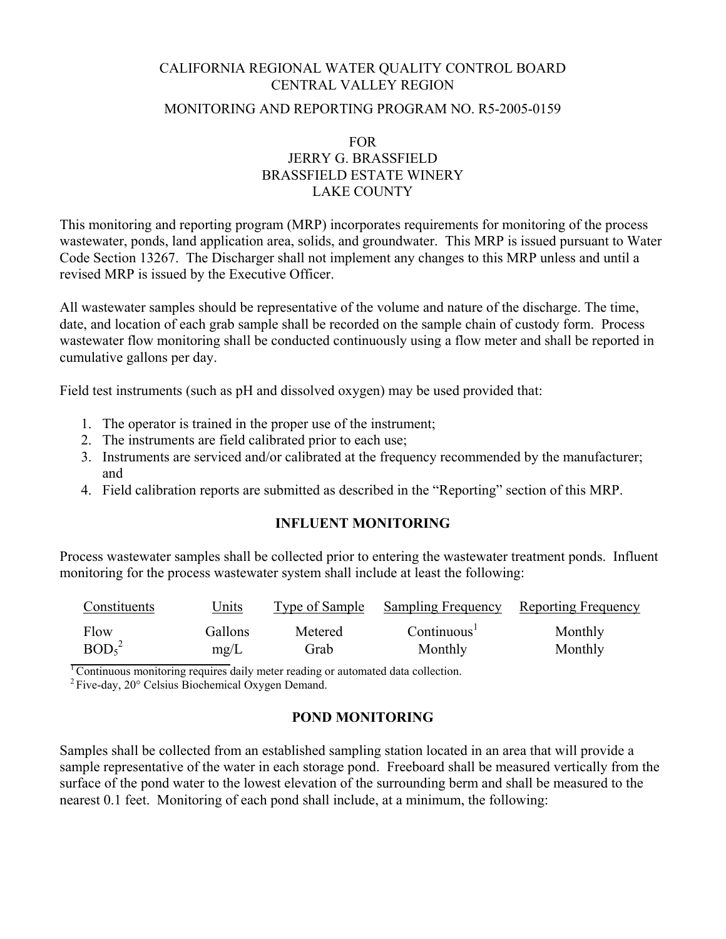# CALIFORNIA REGIONAL WATER QUALITY CONTROL BOARD CENTRAL VALLEY REGION MONITORING AND REPORTING PROGRAM NO. R5-2005-0159

## FOR JERRY G. BRASSFIELD BRASSFIELD ESTATE WINERY LAKE COUNTY

This monitoring and reporting program (MRP) incorporates requirements for monitoring of the process wastewater, ponds, land application area, solids, and groundwater. This MRP is issued pursuant to Water Code Section 13267. The Discharger shall not implement any changes to this MRP unless and until a revised MRP is issued by the Executive Officer.

All wastewater samples should be representative of the volume and nature of the discharge. The time, date, and location of each grab sample shall be recorded on the sample chain of custody form. Process wastewater flow monitoring shall be conducted continuously using a flow meter and shall be reported in cumulative gallons per day.

Field test instruments (such as pH and dissolved oxygen) may be used provided that:

- 1. The operator is trained in the proper use of the instrument;
- 2. The instruments are field calibrated prior to each use;
- 3. Instruments are serviced and/or calibrated at the frequency recommended by the manufacturer; and
- 4. Field calibration reports are submitted as described in the "Reporting" section of this MRP.

#### **INFLUENT MONITORING**

Process wastewater samples shall be collected prior to entering the wastewater treatment ponds. Influent monitoring for the process wastewater system shall include at least the following:

| Constituents                  | <u>Units</u> | Type of Sample | <b>Sampling Frequency</b> Reporting Frequency |         |
|-------------------------------|--------------|----------------|-----------------------------------------------|---------|
| Flow                          | Gallons      | Metered        | Continuous <sup>1</sup>                       | Monthly |
| BOD <sub>5</sub> <sup>2</sup> | mg/L         | Grab           | Monthly                                       | Monthly |

<sup>1</sup> Continuous monitoring requires daily meter reading or automated data collection.

2 Five-day, 20° Celsius Biochemical Oxygen Demand.

# **POND MONITORING**

Samples shall be collected from an established sampling station located in an area that will provide a sample representative of the water in each storage pond. Freeboard shall be measured vertically from the surface of the pond water to the lowest elevation of the surrounding berm and shall be measured to the nearest 0.1 feet. Monitoring of each pond shall include, at a minimum, the following: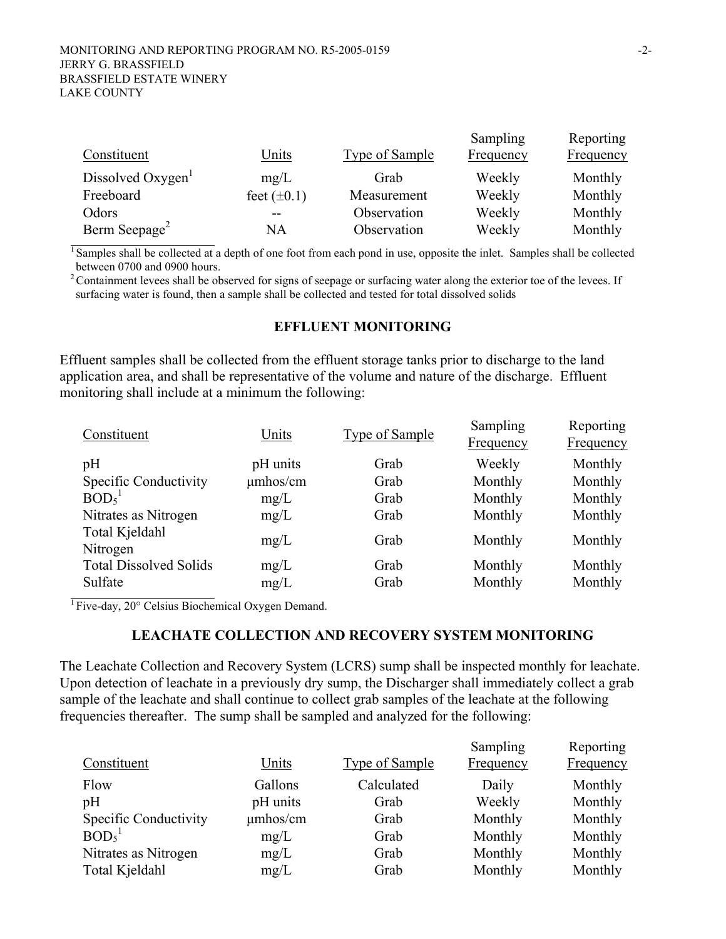| Constituent                   | Units            | <b>Type of Sample</b> | Sampling<br><b>Frequency</b> | Reporting<br><b>Frequency</b> |
|-------------------------------|------------------|-----------------------|------------------------------|-------------------------------|
| Dissolved Oxygen <sup>1</sup> | mg/L             | Grab                  | Weekly                       | Monthly                       |
| Freeboard                     | feet $(\pm 0.1)$ | Measurement           | Weekly                       | Monthly                       |
| Odors                         |                  | Observation           | Weekly                       | Monthly                       |
| Berm Seepage <sup>2</sup>     | NA               | Observation           | Weekly                       | Monthly                       |

 $\frac{1}{1}$  Samples shall be collected at a depth of one foot from each pond in use, opposite the inlet. Samples shall be collected between 0700 and 0900 hours.

 $2$  Containment levees shall be observed for signs of seepage or surfacing water along the exterior toe of the levees. If surfacing water is found, then a sample shall be collected and tested for total dissolved solids

#### **EFFLUENT MONITORING**

Effluent samples shall be collected from the effluent storage tanks prior to discharge to the land application area, and shall be representative of the volume and nature of the discharge. Effluent monitoring shall include at a minimum the following:

| Units         | Type of Sample | Sampling<br>Frequency | Reporting<br><b>Frequency</b> |
|---------------|----------------|-----------------------|-------------------------------|
| pH units      | Grab           | Weekly                | Monthly                       |
| $\mu$ mhos/cm | Grab           | Monthly               | Monthly                       |
| mg/L          | Grab           | Monthly               | Monthly                       |
| mg/L          | Grab           | Monthly               | Monthly                       |
| mg/L          | Grab           | Monthly               | Monthly                       |
| mg/L          | Grab           | Monthly               | Monthly                       |
| mg/L          | Grab           | Monthly               | Monthly                       |
|               |                |                       |                               |

 $\overline{1}$  Five-day, 20 $\degree$  Celsius Biochemical Oxygen Demand.

#### **LEACHATE COLLECTION AND RECOVERY SYSTEM MONITORING**

The Leachate Collection and Recovery System (LCRS) sump shall be inspected monthly for leachate. Upon detection of leachate in a previously dry sump, the Discharger shall immediately collect a grab sample of the leachate and shall continue to collect grab samples of the leachate at the following frequencies thereafter. The sump shall be sampled and analyzed for the following:

| Constituent                   | Units         | Type of Sample | Sampling<br>Frequency | Reporting<br>Frequency |
|-------------------------------|---------------|----------------|-----------------------|------------------------|
| Flow                          | Gallons       | Calculated     | Daily                 | Monthly                |
| pH                            | pH units      | Grab           | Weekly                | Monthly                |
| Specific Conductivity         | $\mu$ mhos/cm | Grab           | Monthly               | Monthly                |
| BOD <sub>5</sub> <sup>1</sup> | mg/L          | Grab           | Monthly               | Monthly                |
| Nitrates as Nitrogen          | mg/L          | Grab           | Monthly               | Monthly                |
| Total Kjeldahl                | mg/L          | Grab           | Monthly               | Monthly                |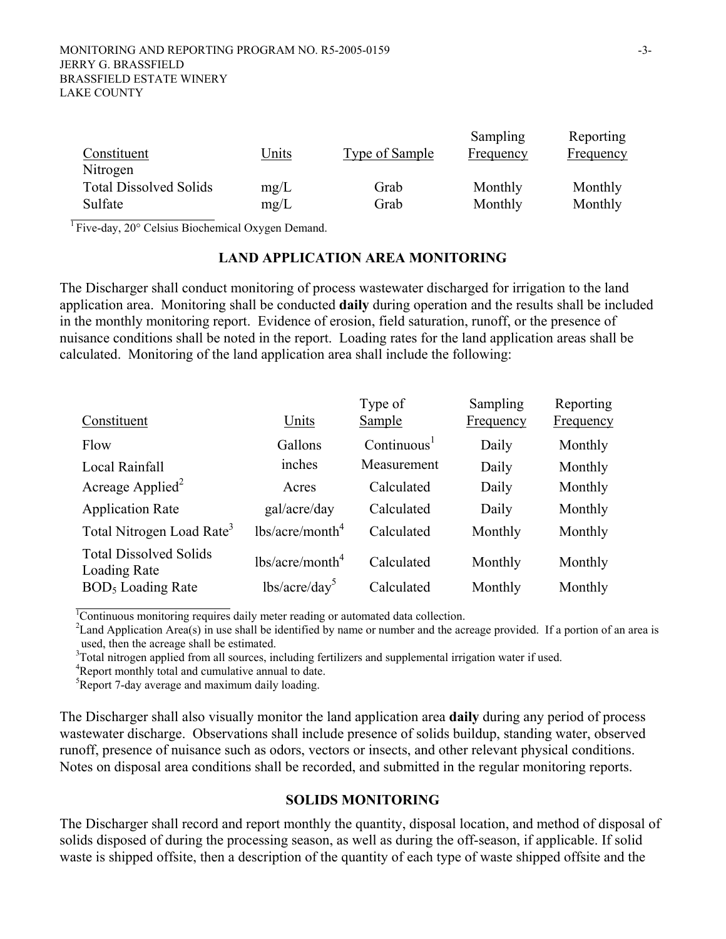| Constituent                   | Units | Type of Sample | Sampling<br>Frequency | Reporting<br>Frequency |
|-------------------------------|-------|----------------|-----------------------|------------------------|
| Nitrogen                      |       |                |                       |                        |
| <b>Total Dissolved Solids</b> | mg/L  | Grab           | Monthly               | Monthly                |
| Sulfate                       | mg/L  | Grab           | Monthly               | Monthly                |

 $\overline{1}$  Five-day, 20 $\degree$  Celsius Biochemical Oxygen Demand.

#### **LAND APPLICATION AREA MONITORING**

The Discharger shall conduct monitoring of process wastewater discharged for irrigation to the land application area. Monitoring shall be conducted **daily** during operation and the results shall be included in the monthly monitoring report. Evidence of erosion, field saturation, runoff, or the presence of nuisance conditions shall be noted in the report. Loading rates for the land application areas shall be calculated. Monitoring of the land application area shall include the following:

|                             | Type of                 | Sampling | Reporting        |
|-----------------------------|-------------------------|----------|------------------|
|                             |                         |          | <u>Frequency</u> |
| Gallons                     | Continuous <sup>1</sup> | Daily    | Monthly          |
| inches                      | Measurement             | Daily    | Monthly          |
| Acres                       | Calculated              | Daily    | Monthly          |
| gal/acre/day                | Calculated              | Daily    | Monthly          |
| lbs/acre/month <sup>4</sup> | Calculated              | Monthly  | Monthly          |
| lbs/acre/month <sup>4</sup> | Calculated              | Monthly  | Monthly          |
| $lbs/acre/day^5$            | Calculated              | Monthly  | Monthly          |
|                             | Units                   | Sample   | <b>Frequency</b> |

<sup>1</sup>Continuous monitoring requires daily meter reading or automated data collection.

<sup>2</sup> Land Application Area(s) in use shall be identified by name or number and the acreage provided. If a portion of an area is used, then the acreage shall be estimated.

 $3$ Total nitrogen applied from all sources, including fertilizers and supplemental irrigation water if used.  $4P$  apart menthly total and sumpletive appeal to data

<sup>4</sup>Report monthly total and cumulative annual to date.

<sup>5</sup>Report 7-day average and maximum daily loading.

The Discharger shall also visually monitor the land application area **daily** during any period of process wastewater discharge. Observations shall include presence of solids buildup, standing water, observed runoff, presence of nuisance such as odors, vectors or insects, and other relevant physical conditions. Notes on disposal area conditions shall be recorded, and submitted in the regular monitoring reports.

#### **SOLIDS MONITORING**

The Discharger shall record and report monthly the quantity, disposal location, and method of disposal of solids disposed of during the processing season, as well as during the off-season, if applicable. If solid waste is shipped offsite, then a description of the quantity of each type of waste shipped offsite and the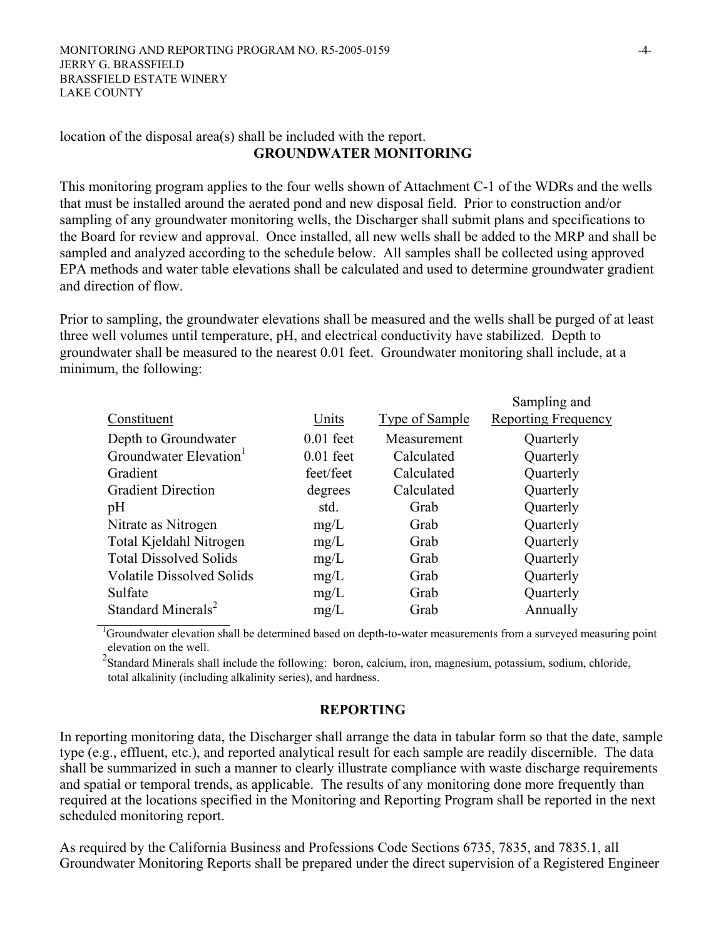#### location of the disposal area(s) shall be included with the report. **GROUNDWATER MONITORING**

This monitoring program applies to the four wells shown of Attachment C-1 of the WDRs and the wells that must be installed around the aerated pond and new disposal field. Prior to construction and/or sampling of any groundwater monitoring wells, the Discharger shall submit plans and specifications to the Board for review and approval. Once installed, all new wells shall be added to the MRP and shall be sampled and analyzed according to the schedule below. All samples shall be collected using approved EPA methods and water table elevations shall be calculated and used to determine groundwater gradient and direction of flow.

Prior to sampling, the groundwater elevations shall be measured and the wells shall be purged of at least three well volumes until temperature, pH, and electrical conductivity have stabilized. Depth to groundwater shall be measured to the nearest 0.01 feet. Groundwater monitoring shall include, at a minimum, the following:

|                                    |             |                | Sampling and               |
|------------------------------------|-------------|----------------|----------------------------|
| Constituent                        | Units       | Type of Sample | <b>Reporting Frequency</b> |
| Depth to Groundwater               | $0.01$ feet | Measurement    | Quarterly                  |
| Groundwater Elevation <sup>1</sup> | $0.01$ feet | Calculated     | Quarterly                  |
| Gradient                           | feet/feet   | Calculated     | Quarterly                  |
| <b>Gradient Direction</b>          | degrees     | Calculated     | Quarterly                  |
| pH                                 | std.        | Grab           | Quarterly                  |
| Nitrate as Nitrogen                | mg/L        | Grab           | Quarterly                  |
| Total Kjeldahl Nitrogen            | mg/L        | Grab           | Quarterly                  |
| <b>Total Dissolved Solids</b>      | mg/L        | Grab           | Quarterly                  |
| <b>Volatile Dissolved Solids</b>   | mg/L        | Grab           | Quarterly                  |
| Sulfate                            | mg/L        | Grab           | Quarterly                  |
| Standard Minerals <sup>2</sup>     | mg/L        | Grab           | Annually                   |

<sup>1</sup>Groundwater elevation shall be determined based on depth-to-water measurements from a surveyed measuring point elevation on the well.

 $2$ Standard Minerals shall include the following: boron, calcium, iron, magnesium, potassium, sodium, chloride, total alkalinity (including alkalinity series), and hardness.

# **REPORTING**

In reporting monitoring data, the Discharger shall arrange the data in tabular form so that the date, sample type (e.g., effluent, etc.), and reported analytical result for each sample are readily discernible. The data shall be summarized in such a manner to clearly illustrate compliance with waste discharge requirements and spatial or temporal trends, as applicable. The results of any monitoring done more frequently than required at the locations specified in the Monitoring and Reporting Program shall be reported in the next scheduled monitoring report.

As required by the California Business and Professions Code Sections 6735, 7835, and 7835.1, all Groundwater Monitoring Reports shall be prepared under the direct supervision of a Registered Engineer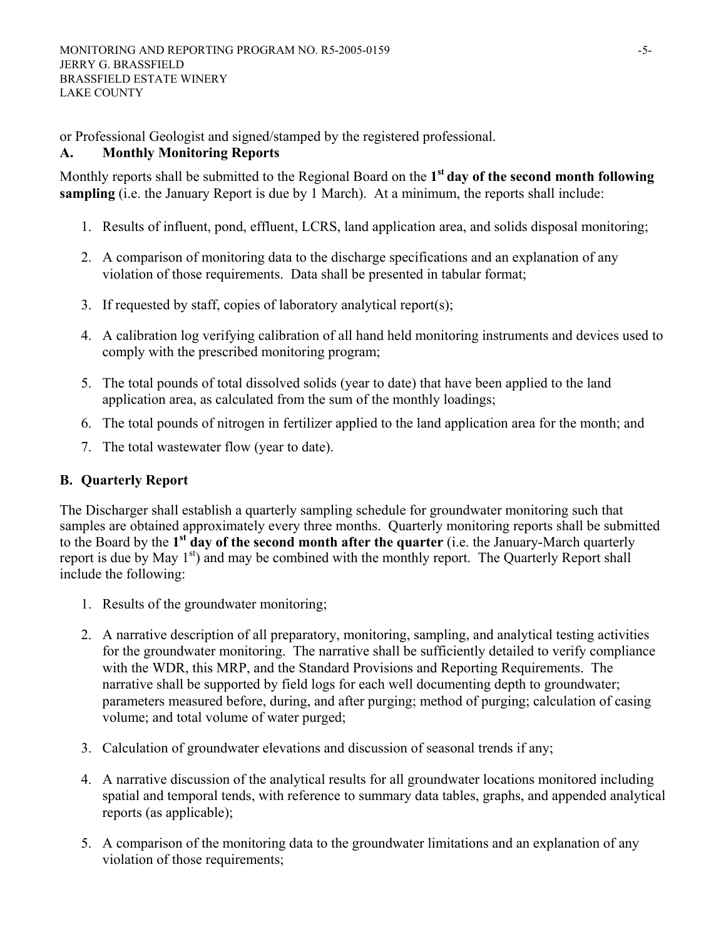or Professional Geologist and signed/stamped by the registered professional.

# **A. Monthly Monitoring Reports**

Monthly reports shall be submitted to the Regional Board on the **1st day of the second month following sampling** (i.e. the January Report is due by 1 March). At a minimum, the reports shall include:

- 1. Results of influent, pond, effluent, LCRS, land application area, and solids disposal monitoring;
- 2. A comparison of monitoring data to the discharge specifications and an explanation of any violation of those requirements. Data shall be presented in tabular format;
- 3. If requested by staff, copies of laboratory analytical report(s);
- 4. A calibration log verifying calibration of all hand held monitoring instruments and devices used to comply with the prescribed monitoring program;
- 5. The total pounds of total dissolved solids (year to date) that have been applied to the land application area, as calculated from the sum of the monthly loadings;
- 6. The total pounds of nitrogen in fertilizer applied to the land application area for the month; and
- 7. The total wastewater flow (year to date).

# **B. Quarterly Report**

The Discharger shall establish a quarterly sampling schedule for groundwater monitoring such that samples are obtained approximately every three months. Quarterly monitoring reports shall be submitted to the Board by the **1st day of the second month after the quarter** (i.e. the January-March quarterly report is due by May 1<sup>st</sup>) and may be combined with the monthly report. The Quarterly Report shall include the following:

- 1. Results of the groundwater monitoring;
- 2. A narrative description of all preparatory, monitoring, sampling, and analytical testing activities for the groundwater monitoring. The narrative shall be sufficiently detailed to verify compliance with the WDR, this MRP, and the Standard Provisions and Reporting Requirements. The narrative shall be supported by field logs for each well documenting depth to groundwater; parameters measured before, during, and after purging; method of purging; calculation of casing volume; and total volume of water purged;
- 3. Calculation of groundwater elevations and discussion of seasonal trends if any;
- 4. A narrative discussion of the analytical results for all groundwater locations monitored including spatial and temporal tends, with reference to summary data tables, graphs, and appended analytical reports (as applicable);
- 5. A comparison of the monitoring data to the groundwater limitations and an explanation of any violation of those requirements;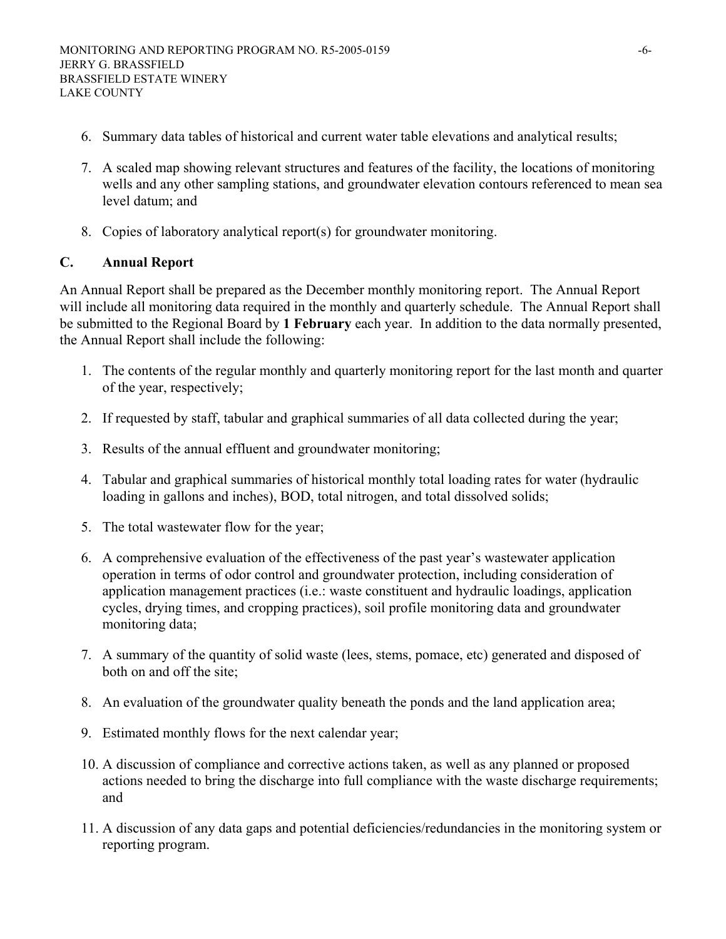- 6. Summary data tables of historical and current water table elevations and analytical results;
- 7. A scaled map showing relevant structures and features of the facility, the locations of monitoring wells and any other sampling stations, and groundwater elevation contours referenced to mean sea level datum; and
- 8. Copies of laboratory analytical report(s) for groundwater monitoring.

# **C. Annual Report**

An Annual Report shall be prepared as the December monthly monitoring report. The Annual Report will include all monitoring data required in the monthly and quarterly schedule. The Annual Report shall be submitted to the Regional Board by **1 February** each year. In addition to the data normally presented, the Annual Report shall include the following:

- 1. The contents of the regular monthly and quarterly monitoring report for the last month and quarter of the year, respectively;
- 2. If requested by staff, tabular and graphical summaries of all data collected during the year;
- 3. Results of the annual effluent and groundwater monitoring;
- 4. Tabular and graphical summaries of historical monthly total loading rates for water (hydraulic loading in gallons and inches), BOD, total nitrogen, and total dissolved solids;
- 5. The total wastewater flow for the year;
- 6. A comprehensive evaluation of the effectiveness of the past year's wastewater application operation in terms of odor control and groundwater protection, including consideration of application management practices (i.e.: waste constituent and hydraulic loadings, application cycles, drying times, and cropping practices), soil profile monitoring data and groundwater monitoring data;
- 7. A summary of the quantity of solid waste (lees, stems, pomace, etc) generated and disposed of both on and off the site;
- 8. An evaluation of the groundwater quality beneath the ponds and the land application area;
- 9. Estimated monthly flows for the next calendar year;
- 10. A discussion of compliance and corrective actions taken, as well as any planned or proposed actions needed to bring the discharge into full compliance with the waste discharge requirements; and
- 11. A discussion of any data gaps and potential deficiencies/redundancies in the monitoring system or reporting program.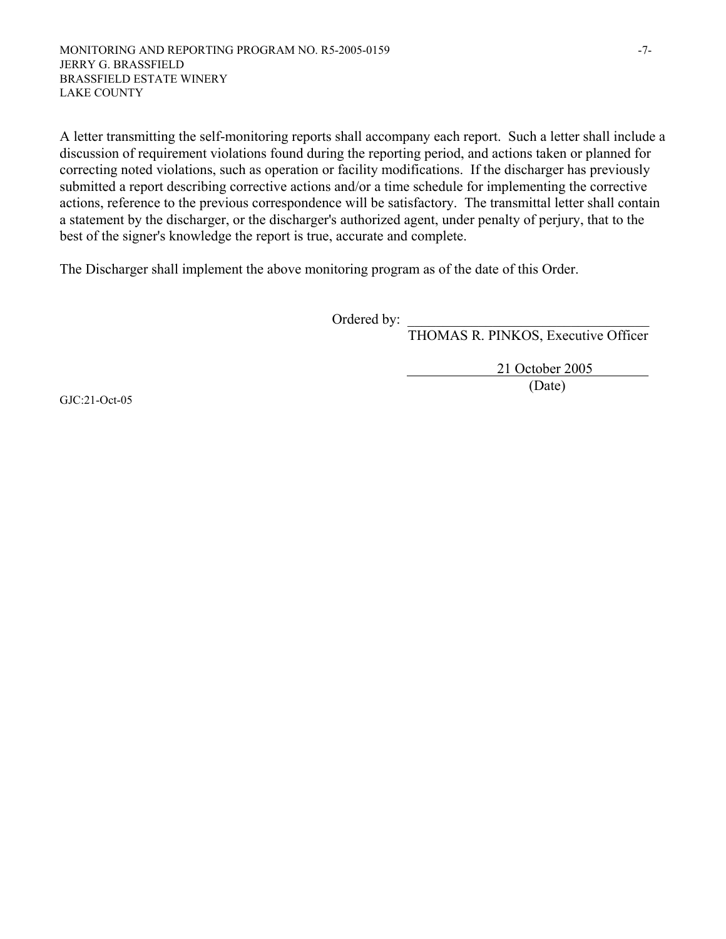A letter transmitting the self-monitoring reports shall accompany each report. Such a letter shall include a discussion of requirement violations found during the reporting period, and actions taken or planned for correcting noted violations, such as operation or facility modifications. If the discharger has previously submitted a report describing corrective actions and/or a time schedule for implementing the corrective actions, reference to the previous correspondence will be satisfactory. The transmittal letter shall contain a statement by the discharger, or the discharger's authorized agent, under penalty of perjury, that to the best of the signer's knowledge the report is true, accurate and complete.

The Discharger shall implement the above monitoring program as of the date of this Order.

Ordered by:

THOMAS R. PINKOS, Executive Officer

 21 October 2005 (Date)

GJC:21-Oct-05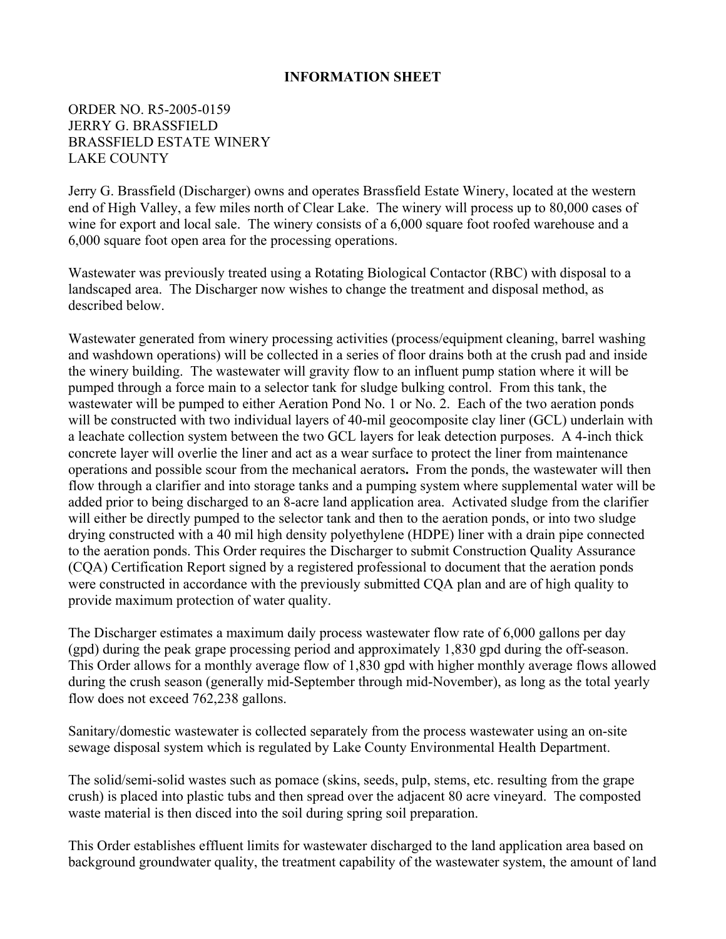### **INFORMATION SHEET**

## ORDER NO. R5-2005-0159 JERRY G. BRASSFIELD BRASSFIELD ESTATE WINERY LAKE COUNTY

Jerry G. Brassfield (Discharger) owns and operates Brassfield Estate Winery, located at the western end of High Valley, a few miles north of Clear Lake. The winery will process up to 80,000 cases of wine for export and local sale. The winery consists of a 6,000 square foot roofed warehouse and a 6,000 square foot open area for the processing operations.

Wastewater was previously treated using a Rotating Biological Contactor (RBC) with disposal to a landscaped area. The Discharger now wishes to change the treatment and disposal method, as described below.

Wastewater generated from winery processing activities (process/equipment cleaning, barrel washing and washdown operations) will be collected in a series of floor drains both at the crush pad and inside the winery building. The wastewater will gravity flow to an influent pump station where it will be pumped through a force main to a selector tank for sludge bulking control. From this tank, the wastewater will be pumped to either Aeration Pond No. 1 or No. 2. Each of the two aeration ponds will be constructed with two individual layers of 40-mil geocomposite clay liner (GCL) underlain with a leachate collection system between the two GCL layers for leak detection purposes. A 4-inch thick concrete layer will overlie the liner and act as a wear surface to protect the liner from maintenance operations and possible scour from the mechanical aerators**.** From the ponds, the wastewater will then flow through a clarifier and into storage tanks and a pumping system where supplemental water will be added prior to being discharged to an 8-acre land application area. Activated sludge from the clarifier will either be directly pumped to the selector tank and then to the aeration ponds, or into two sludge drying constructed with a 40 mil high density polyethylene (HDPE) liner with a drain pipe connected to the aeration ponds. This Order requires the Discharger to submit Construction Quality Assurance (CQA) Certification Report signed by a registered professional to document that the aeration ponds were constructed in accordance with the previously submitted CQA plan and are of high quality to provide maximum protection of water quality.

The Discharger estimates a maximum daily process wastewater flow rate of 6,000 gallons per day (gpd) during the peak grape processing period and approximately 1,830 gpd during the off-season. This Order allows for a monthly average flow of 1,830 gpd with higher monthly average flows allowed during the crush season (generally mid-September through mid-November), as long as the total yearly flow does not exceed 762,238 gallons.

Sanitary/domestic wastewater is collected separately from the process wastewater using an on-site sewage disposal system which is regulated by Lake County Environmental Health Department.

The solid/semi-solid wastes such as pomace (skins, seeds, pulp, stems, etc. resulting from the grape crush) is placed into plastic tubs and then spread over the adjacent 80 acre vineyard. The composted waste material is then disced into the soil during spring soil preparation.

This Order establishes effluent limits for wastewater discharged to the land application area based on background groundwater quality, the treatment capability of the wastewater system, the amount of land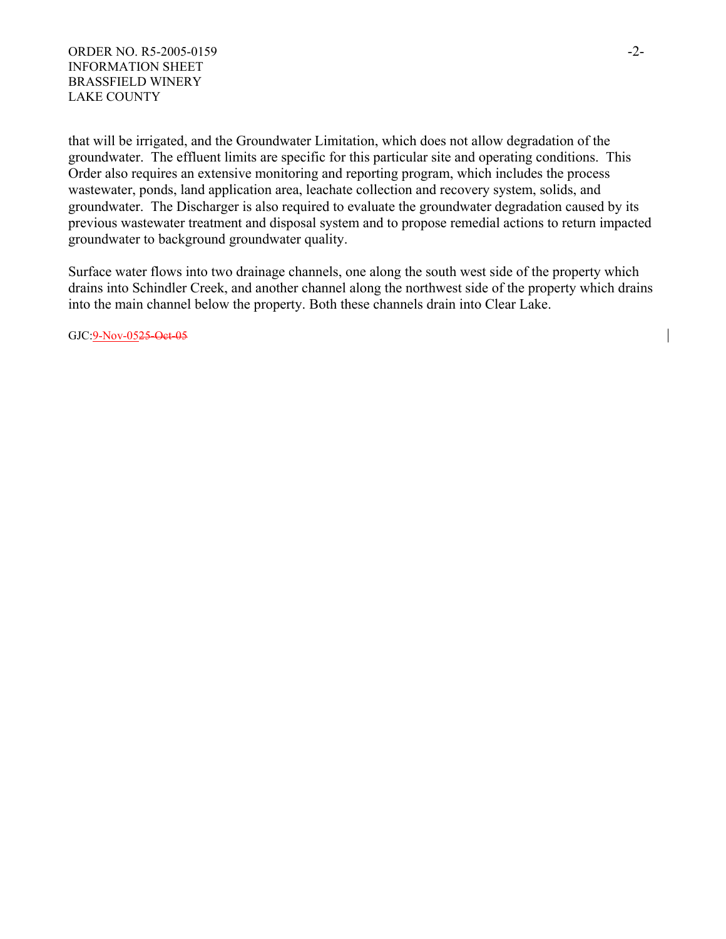#### ORDER NO. R5-2005-0159 -2-INFORMATION SHEET BRASSFIELD WINERY LAKE COUNTY

that will be irrigated, and the Groundwater Limitation, which does not allow degradation of the groundwater. The effluent limits are specific for this particular site and operating conditions. This Order also requires an extensive monitoring and reporting program, which includes the process wastewater, ponds, land application area, leachate collection and recovery system, solids, and groundwater. The Discharger is also required to evaluate the groundwater degradation caused by its previous wastewater treatment and disposal system and to propose remedial actions to return impacted groundwater to background groundwater quality.

Surface water flows into two drainage channels, one along the south west side of the property which drains into Schindler Creek, and another channel along the northwest side of the property which drains into the main channel below the property. Both these channels drain into Clear Lake.

GJC:9-Nov-0525-Oct-05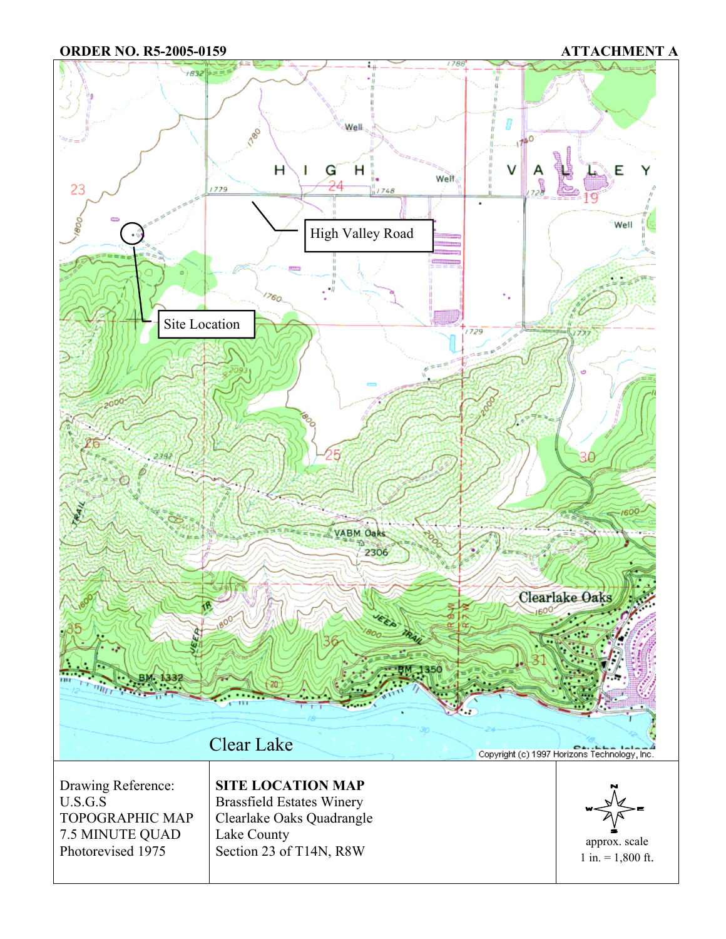**ORDER NO. R5-2005-0159 ATTACHMENT A** 

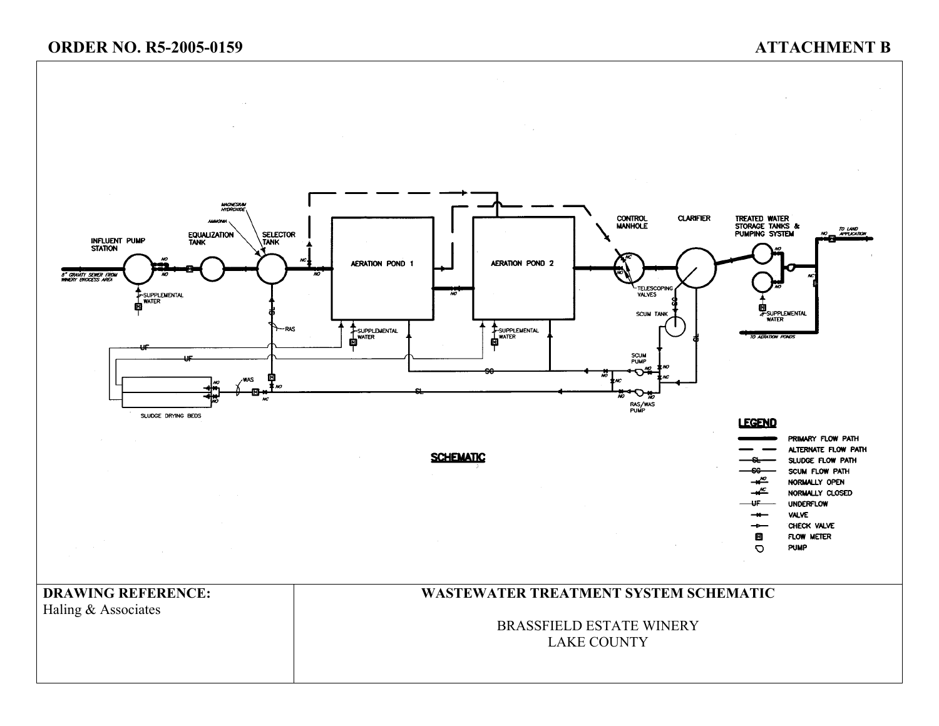# **ORDER NO. R5-2005-0159 ATTACHMENT B**

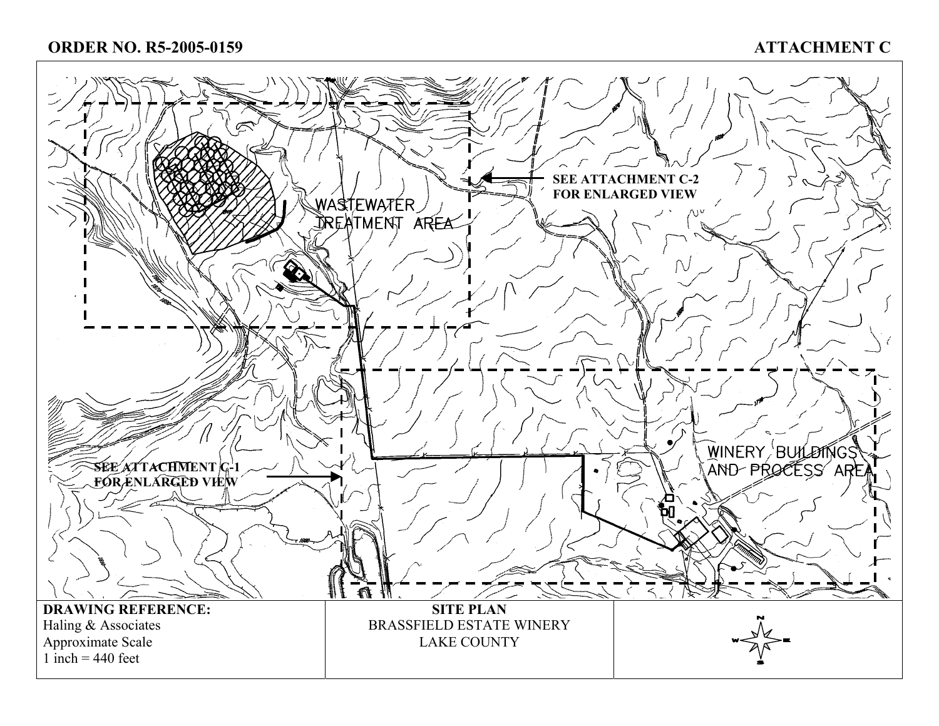# **ORDER NO. R5-2005-0159**

# **ATTACHMENT C**

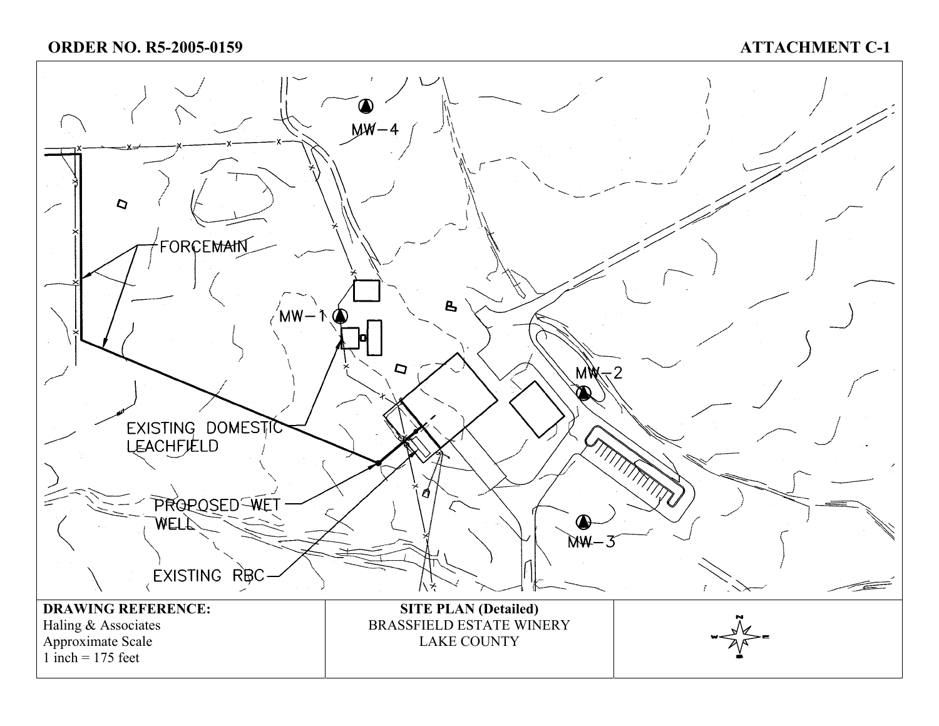# **ORDER NO. R5-2005-0159**

# **ATTACHMENT C-1**

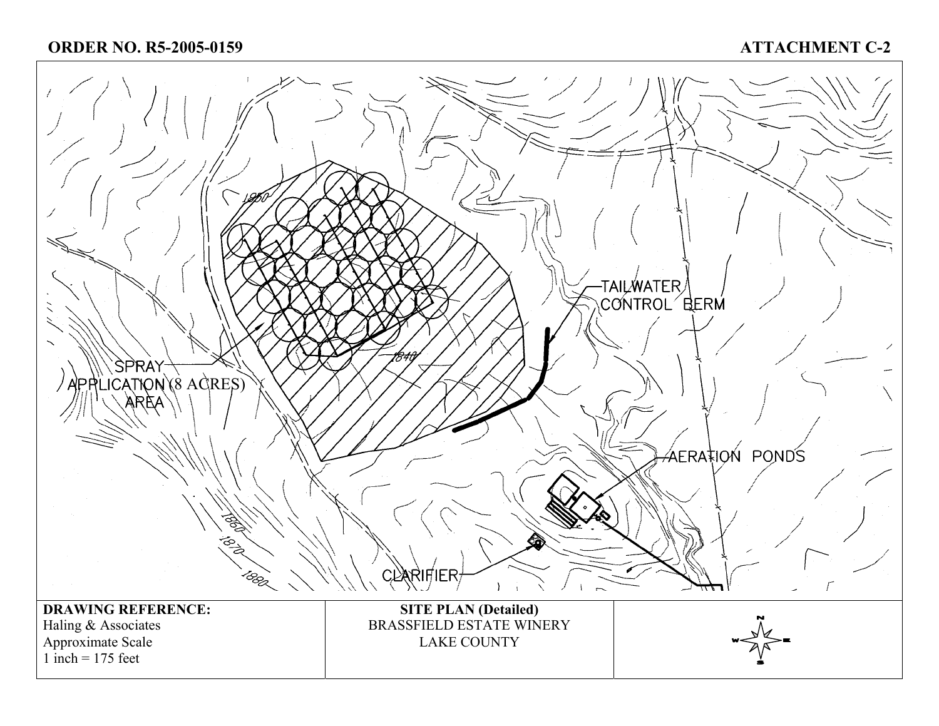# **ATTACHMENT C-2**

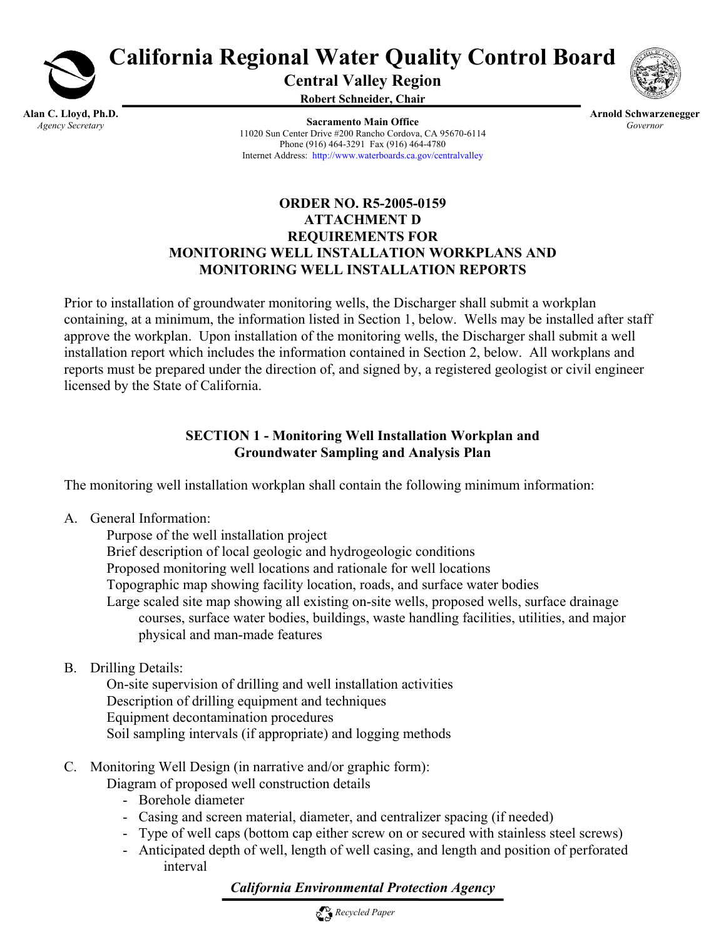

**California Regional Water Quality Control Board** 

**Central Valley Region** 

**Robert Schneider, Chair**

**Alan C. Lloyd, Ph.D.**  *Agency Secretary* 

**Sacramento Main Office** 11020 Sun Center Drive #200 Rancho Cordova, CA 95670-6114 Phone (916) 464-3291 Fax (916) 464-4780 Internet Address: http://www.waterboards.ca.gov/centralvalley

**Arnold Schwarzenegger**  *Governor* 

## **ORDER NO. R5-2005-0159 ATTACHMENT D REQUIREMENTS FOR MONITORING WELL INSTALLATION WORKPLANS AND MONITORING WELL INSTALLATION REPORTS**

Prior to installation of groundwater monitoring wells, the Discharger shall submit a workplan containing, at a minimum, the information listed in Section 1, below. Wells may be installed after staff approve the workplan. Upon installation of the monitoring wells, the Discharger shall submit a well installation report which includes the information contained in Section 2, below. All workplans and reports must be prepared under the direction of, and signed by, a registered geologist or civil engineer licensed by the State of California.

# **SECTION 1 - Monitoring Well Installation Workplan and Groundwater Sampling and Analysis Plan**

The monitoring well installation workplan shall contain the following minimum information:

A. General Information:

 Purpose of the well installation project Brief description of local geologic and hydrogeologic conditions Proposed monitoring well locations and rationale for well locations Topographic map showing facility location, roads, and surface water bodies Large scaled site map showing all existing on-site wells, proposed wells, surface drainage courses, surface water bodies, buildings, waste handling facilities, utilities, and major physical and man-made features

B. Drilling Details:

 On-site supervision of drilling and well installation activities Description of drilling equipment and techniques Equipment decontamination procedures Soil sampling intervals (if appropriate) and logging methods

C. Monitoring Well Design (in narrative and/or graphic form):

Diagram of proposed well construction details

- Borehole diameter
- Casing and screen material, diameter, and centralizer spacing (if needed)
- Type of well caps (bottom cap either screw on or secured with stainless steel screws)
- Anticipated depth of well, length of well casing, and length and position of perforated interval

# *California Environmental Protection Agency*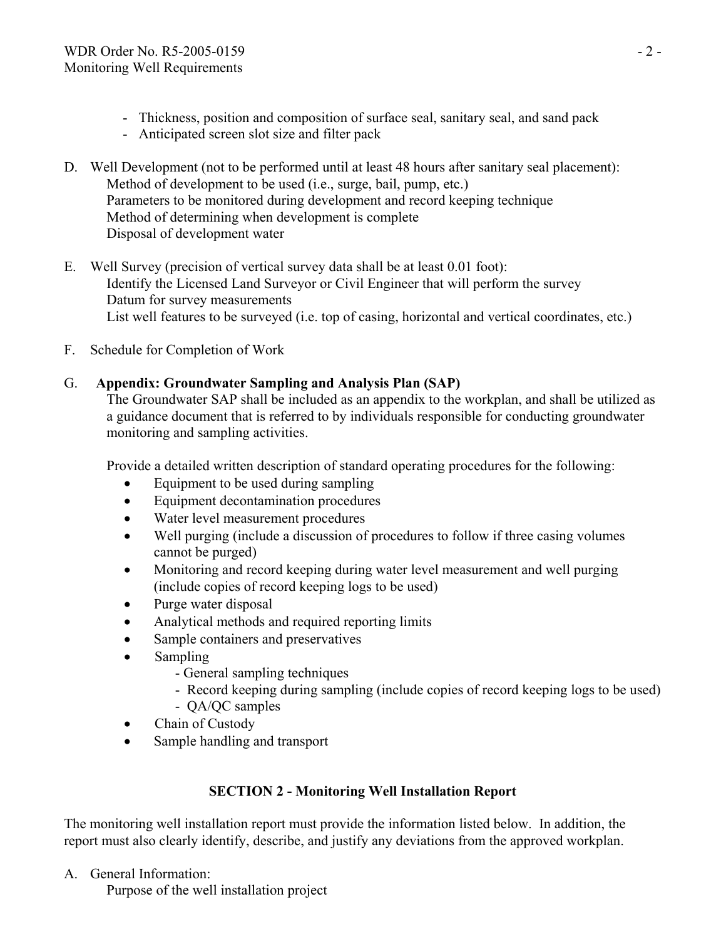- Thickness, position and composition of surface seal, sanitary seal, and sand pack
- Anticipated screen slot size and filter pack
- D. Well Development (not to be performed until at least 48 hours after sanitary seal placement): Method of development to be used (i.e., surge, bail, pump, etc.) Parameters to be monitored during development and record keeping technique Method of determining when development is complete Disposal of development water
- E. Well Survey (precision of vertical survey data shall be at least 0.01 foot): Identify the Licensed Land Surveyor or Civil Engineer that will perform the survey Datum for survey measurements List well features to be surveyed (i.e. top of casing, horizontal and vertical coordinates, etc.)
- F. Schedule for Completion of Work

# G. **Appendix: Groundwater Sampling and Analysis Plan (SAP)**

The Groundwater SAP shall be included as an appendix to the workplan, and shall be utilized as a guidance document that is referred to by individuals responsible for conducting groundwater monitoring and sampling activities.

Provide a detailed written description of standard operating procedures for the following:

- Equipment to be used during sampling
- Equipment decontamination procedures
- Water level measurement procedures
- Well purging (include a discussion of procedures to follow if three casing volumes cannot be purged)
- Monitoring and record keeping during water level measurement and well purging (include copies of record keeping logs to be used)
- Purge water disposal
- Analytical methods and required reporting limits
- Sample containers and preservatives
- Sampling
	- General sampling techniques
	- Record keeping during sampling (include copies of record keeping logs to be used) - QA/QC samples
	-
- Chain of Custody
- Sample handling and transport

# **SECTION 2 - Monitoring Well Installation Report**

The monitoring well installation report must provide the information listed below. In addition, the report must also clearly identify, describe, and justify any deviations from the approved workplan.

A. General Information:

Purpose of the well installation project